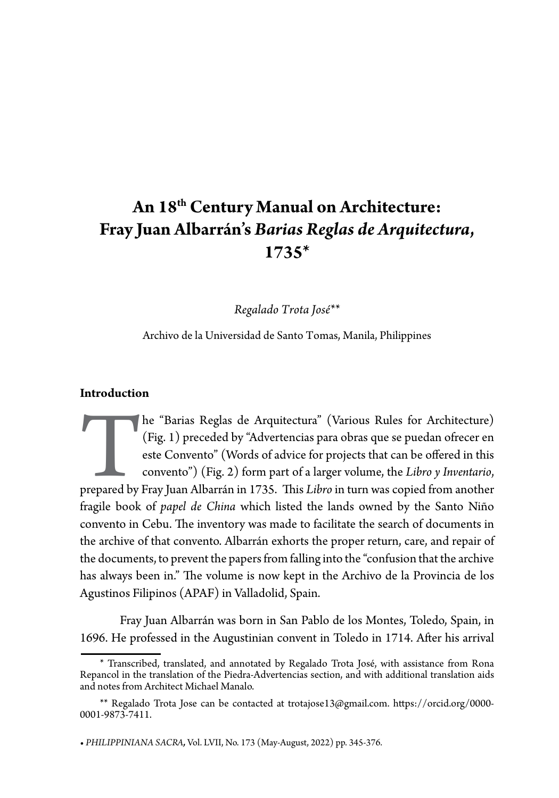# **An 18th Century Manual on Architecture: Fray Juan Albarrán's** *Barias Reglas de Arquitectura***, 1735\***

*Regalado Trota José\*\**

Archivo de la Universidad de Santo Tomas, Manila, Philippines

# **Introduction**

The "Barias Reglas de Arquitectura" (Various Rules for Architecture)<br>
(Fig. 1) preceded by "Advertencias para obras que se puedan ofrecer en<br>
este Convento" (Words of advice for projects that can be offered in this<br>
conven (Fig. 1) preceded by "Advertencias para obras que se puedan ofrecer en este Convento" (Words of advice for projects that can be offered in this convento") (Fig. 2) form part of a larger volume, the *Libro y Inventario*, prepared by Fray Juan Albarrán in 1735. This *Libro* in turn was copied from another fragile book of *papel de China* which listed the lands owned by the Santo Niño convento in Cebu. The inventory was made to facilitate the search of documents in the archive of that convento. Albarrán exhorts the proper return, care, and repair of the documents, to prevent the papers from falling into the "confusion that the archive has always been in." The volume is now kept in the Archivo de la Provincia de los Agustinos Filipinos (APAF) in Valladolid, Spain.

Fray Juan Albarrán was born in San Pablo de los Montes, Toledo, Spain, in 1696. He professed in the Augustinian convent in Toledo in 1714. After his arrival

<sup>\*</sup> Transcribed, translated, and annotated by Regalado Trota José, with assistance from Rona Repancol in the translation of the Piedra-Advertencias section, and with additional translation aids and notes from Architect Michael Manalo.

<sup>\*\*</sup> Regalado Trota Jose can be contacted at trotajose13@gmail.com. https://orcid.org/0000- 0001-9873-7411.

**<sup>•</sup>** *PHILIPPINIANA SACRA,* Vol. LVII, No. 173 (May-August, 2022) pp. 345-376.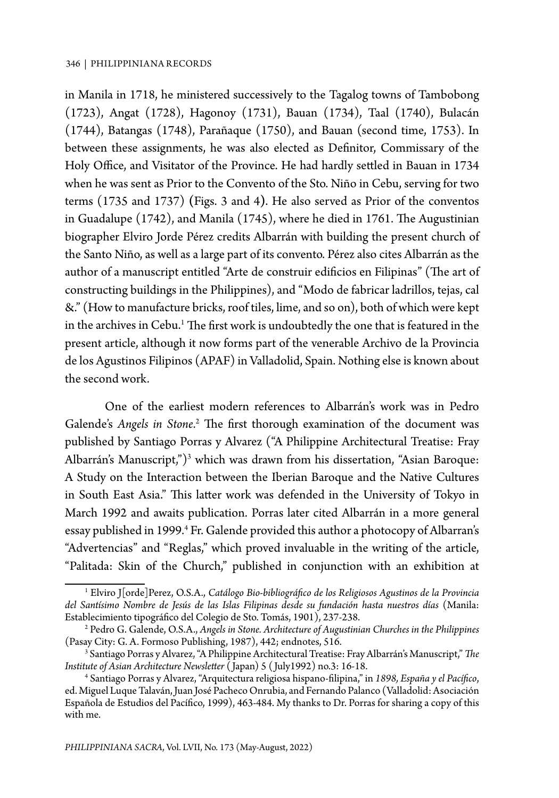in Manila in 1718, he ministered successively to the Tagalog towns of Tambobong (1723), Angat (1728), Hagonoy (1731), Bauan (1734), Taal (1740), Bulacán (1744), Batangas (1748), Parañaque (1750), and Bauan (second time, 1753). In between these assignments, he was also elected as Definitor, Commissary of the Holy Office, and Visitator of the Province. He had hardly settled in Bauan in 1734 when he was sent as Prior to the Convento of the Sto. Niño in Cebu, serving for two terms (1735 and 1737) **(**Figs. 3 and 4**)**. He also served as Prior of the conventos in Guadalupe (1742), and Manila (1745), where he died in 1761. The Augustinian biographer Elviro Jorde Pérez credits Albarrán with building the present church of the Santo Niño, as well as a large part of its convento. Pérez also cites Albarrán as the author of a manuscript entitled "Arte de construir edificios en Filipinas" (The art of constructing buildings in the Philippines), and "Modo de fabricar ladrillos, tejas, cal &." (How to manufacture bricks, roof tiles, lime, and so on), both of which were kept in the archives in Cebu.<sup>1</sup> The first work is undoubtedly the one that is featured in the present article, although it now forms part of the venerable Archivo de la Provincia de los Agustinos Filipinos (APAF) in Valladolid, Spain. Nothing else is known about the second work.

One of the earliest modern references to Albarrán's work was in Pedro Galende's Angels in Stone.<sup>2</sup> The first thorough examination of the document was published by Santiago Porras y Alvarez ("A Philippine Architectural Treatise: Fray Albarrán's Manuscript,")3 which was drawn from his dissertation, "Asian Baroque: A Study on the Interaction between the Iberian Baroque and the Native Cultures in South East Asia." This latter work was defended in the University of Tokyo in March 1992 and awaits publication. Porras later cited Albarrán in a more general essay published in 1999.<sup>4</sup> Fr. Galende provided this author a photocopy of Albarran's "Advertencias" and "Reglas," which proved invaluable in the writing of the article, "Palitada: Skin of the Church," published in conjunction with an exhibition at

<sup>1</sup> Elviro J[orde]Perez, O.S.A., *Catálogo Bio-bibliográfico de los Religiosos Agustinos de la Provincia del Santísimo Nombre de Jesús de las Islas Filipinas desde su fundación hasta nuestros días* (Manila: Establecimiento tipográfico del Colegio de Sto. Tomás, 1901), 237-238.

<sup>2</sup> Pedro G. Galende, O.S.A., *Angels in Stone. Architecture of Augustinian Churches in the Philippines* (Pasay City: G. A. Formoso Publishing, 1987), 442; endnotes, 516.

<sup>3</sup> Santiago Porras y Alvarez, "A Philippine Architectural Treatise: Fray Albarrán's Manuscript," *The Institute of Asian Architecture Newsletter* ( Japan) 5 ( July1992) no.3: 16-18.

<sup>4</sup> Santiago Porras y Alvarez, "Arquitectura religiosa hispano-filipina," in *1898, España y el Pacífico*, ed. Miguel Luque Talaván, Juan José Pacheco Onrubia, and Fernando Palanco (Valladolid: Asociación Española de Estudios del Pacífico, 1999), 463-484. My thanks to Dr. Porras for sharing a copy of this with me.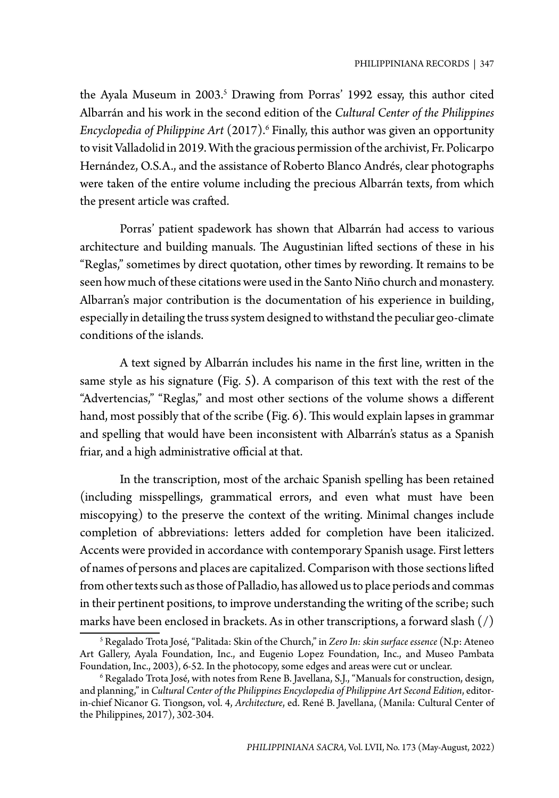the Ayala Museum in 2003.<sup>5</sup> Drawing from Porras' 1992 essay, this author cited Albarrán and his work in the second edition of the *Cultural Center of the Philippines Encyclopedia of Philippine Art* (2017).6 Finally, this author was given an opportunity to visit Valladolid in 2019. With the gracious permission of the archivist, Fr. Policarpo Hernández, O.S.A., and the assistance of Roberto Blanco Andrés, clear photographs were taken of the entire volume including the precious Albarrán texts, from which the present article was crafted.

Porras' patient spadework has shown that Albarrán had access to various architecture and building manuals. The Augustinian lifted sections of these in his "Reglas," sometimes by direct quotation, other times by rewording. It remains to be seen how much of these citations were used in the Santo Niño church and monastery. Albarran's major contribution is the documentation of his experience in building, especially in detailing the truss system designed to withstand the peculiar geo-climate conditions of the islands.

A text signed by Albarrán includes his name in the first line, written in the same style as his signature **(**Fig. 5**)**. A comparison of this text with the rest of the "Advertencias," "Reglas," and most other sections of the volume shows a different hand, most possibly that of the scribe **(**Fig. 6**)**. This would explain lapses in grammar and spelling that would have been inconsistent with Albarrán's status as a Spanish friar, and a high administrative official at that.

In the transcription, most of the archaic Spanish spelling has been retained (including misspellings, grammatical errors, and even what must have been miscopying) to the preserve the context of the writing. Minimal changes include completion of abbreviations: letters added for completion have been italicized. Accents were provided in accordance with contemporary Spanish usage. First letters of names of persons and places are capitalized. Comparison with those sections lifted from other texts such as those of Palladio, has allowed us to place periods and commas in their pertinent positions, to improve understanding the writing of the scribe; such marks have been enclosed in brackets. As in other transcriptions, a forward slash  $\binom{7}{2}$ 

<sup>5</sup> Regalado Trota José, "Palitada: Skin of the Church," in *Zero In: skin surface essence* (N.p: Ateneo Art Gallery, Ayala Foundation, Inc., and Eugenio Lopez Foundation, Inc., and Museo Pambata Foundation, Inc., 2003), 6-52. In the photocopy, some edges and areas were cut or unclear.

 $^6$  Regalado Trota José, with notes from Rene B. Javellana, S.J., "Manuals for construction, design, and planning," in *Cultural Center of the Philippines Encyclopedia of Philippine Art Second Edition*, editorin-chief Nicanor G. Tiongson, vol. 4, *Architecture*, ed. René B. Javellana, (Manila: Cultural Center of the Philippines, 2017), 302-304.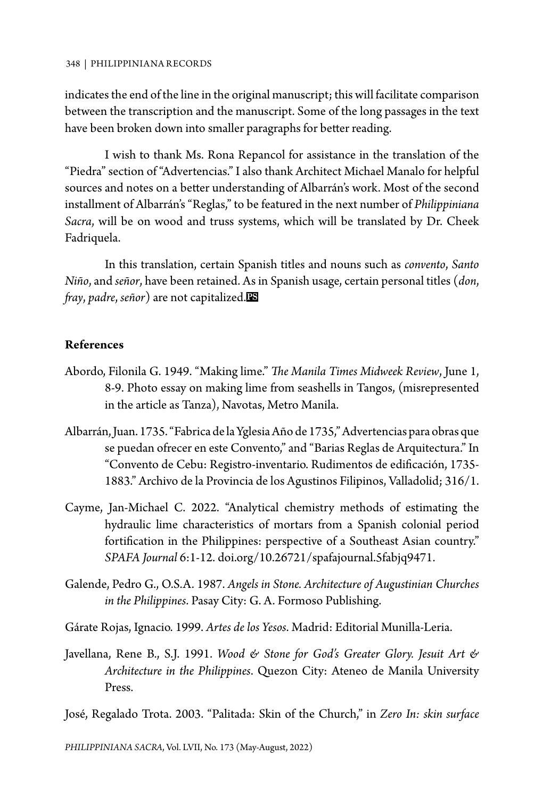indicates the end of the line in the original manuscript; this will facilitate comparison between the transcription and the manuscript. Some of the long passages in the text have been broken down into smaller paragraphs for better reading.

I wish to thank Ms. Rona Repancol for assistance in the translation of the "Piedra" section of "Advertencias." I also thank Architect Michael Manalo for helpful sources and notes on a better understanding of Albarrán's work. Most of the second installment of Albarrán's "Reglas," to be featured in the next number of *Philippiniana Sacra*, will be on wood and truss systems, which will be translated by Dr. Cheek Fadriquela.

In this translation, certain Spanish titles and nouns such as *convento*, *Santo Niño*, and *señor*, have been retained. As in Spanish usage, certain personal titles (*don*, *fray*, *padre*, *señor*) are not capitalized.

# **References**

- Abordo, Filonila G. 1949. "Making lime." *The Manila Times Midweek Review*, June 1, 8-9. Photo essay on making lime from seashells in Tangos, (misrepresented in the article as Tanza), Navotas, Metro Manila.
- Albarrán, Juan. 1735. "Fabrica de la Yglesia Año de 1735," Advertencias para obras que se puedan ofrecer en este Convento," and "Barias Reglas de Arquitectura." In "Convento de Cebu: Registro-inventario. Rudimentos de edificación, 1735- 1883." Archivo de la Provincia de los Agustinos Filipinos, Valladolid; 316/1.
- Cayme, Jan-Michael C. 2022. "Analytical chemistry methods of estimating the hydraulic lime characteristics of mortars from a Spanish colonial period fortification in the Philippines: perspective of a Southeast Asian country." *SPAFA Journal* 6:1-12. doi.org/10.26721/spafajournal.5fabjq9471.
- Galende, Pedro G., O.S.A. 1987. *Angels in Stone. Architecture of Augustinian Churches in the Philippines*. Pasay City: G. A. Formoso Publishing.

Gárate Rojas, Ignacio. 1999. *Artes de los Yesos*. Madrid: Editorial Munilla-Leria.

Javellana, Rene B., S.J. 1991. *Wood & Stone for God's Greater Glory. Jesuit Art & Architecture in the Philippines*. Quezon City: Ateneo de Manila University Press.

José, Regalado Trota. 2003. "Palitada: Skin of the Church," in *Zero In: skin surface*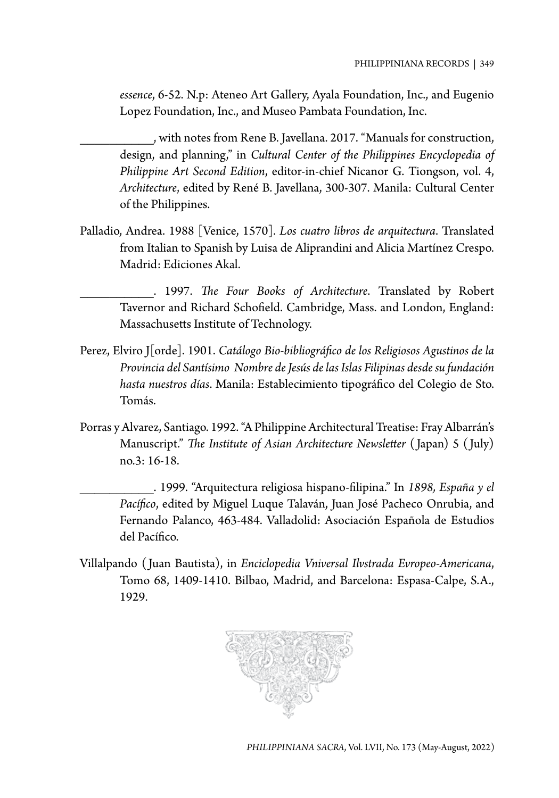*essence*, 6-52. N.p: Ateneo Art Gallery, Ayala Foundation, Inc., and Eugenio Lopez Foundation, Inc., and Museo Pambata Foundation, Inc.

\_\_\_\_\_\_\_\_\_\_, with notes from Rene B. Javellana. 2017. "Manuals for construction, design, and planning," in *Cultural Center of the Philippines Encyclopedia of Philippine Art Second Edition*, editor-in-chief Nicanor G. Tiongson, vol. 4, *Architecture*, edited by René B. Javellana, 300-307. Manila: Cultural Center of the Philippines.

Palladio, Andrea. 1988 [Venice, 1570]. *Los cuatro libros de arquitectura*. Translated from Italian to Spanish by Luisa de Aliprandini and Alicia Martínez Crespo. Madrid: Ediciones Akal.

\_\_\_\_\_\_\_\_\_\_. 1997. *The Four Books of Architecture*. Translated by Robert Tavernor and Richard Schofield. Cambridge, Mass. and London, England: Massachusetts Institute of Technology.

- Perez, Elviro J[orde]. 1901. *Catálogo Bio-bibliográfico de los Religiosos Agustinos de la Provincia del Santísimo Nombre de Jesús de las Islas Filipinas desde su fundación hasta nuestros días*. Manila: Establecimiento tipográfico del Colegio de Sto. Tomás.
- Porras y Alvarez, Santiago. 1992. "A Philippine Architectural Treatise: Fray Albarrán's Manuscript." *The Institute of Asian Architecture Newsletter* ( Japan) 5 ( July) no.3: 16-18.

\_\_\_\_\_\_\_\_\_\_. 1999. "Arquitectura religiosa hispano-filipina." In *1898, España y el Pacífico*, edited by Miguel Luque Talaván, Juan José Pacheco Onrubia, and Fernando Palanco, 463-484. Valladolid: Asociación Española de Estudios del Pacífico.

Villalpando ( Juan Bautista), in *Enciclopedia Vniversal Ilvstrada Evropeo-Americana*, Tomo 68, 1409-1410. Bilbao, Madrid, and Barcelona: Espasa-Calpe, S.A., 1929.



*PHILIPPINIANA SACRA*, Vol. LVII, No. 173 (May-August, 2022)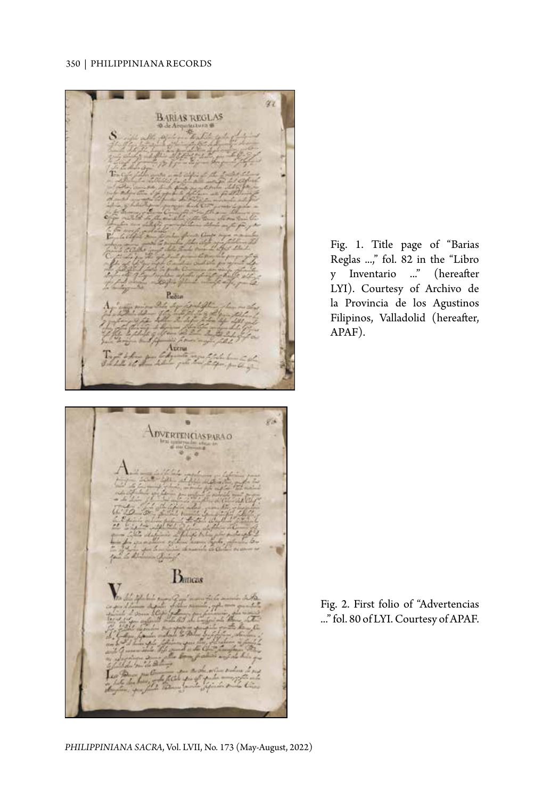**BARIAS REGLAS DVERTENCIAS PARA O** Bancas

Fig. 1. Title page of "Barias Reglas ...," fol. 82 in the "Libro y Inventario ..." (hereafter LYI). Courtesy of Archivo de la Provincia de los Agustinos Filipinos, Valladolid (hereafter, APAF).

Fig. 2. First folio of "Advertencias ..." fol. 80 of LYI. Courtesy of APAF.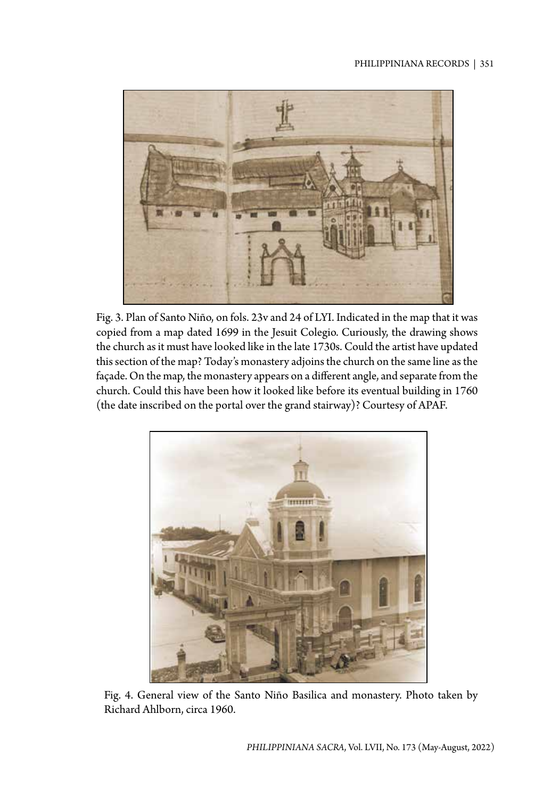

Fig. 3. Plan of Santo Niño, on fols. 23v and 24 of LYI. Indicated in the map that it was copied from a map dated 1699 in the Jesuit Colegio. Curiously, the drawing shows the church as it must have looked like in the late 1730s. Could the artist have updated this section of the map? Today's monastery adjoins the church on the same line as the façade. On the map, the monastery appears on a different angle, and separate from the church. Could this have been how it looked like before its eventual building in 1760 (the date inscribed on the portal over the grand stairway)? Courtesy of APAF.



Fig. 4. General view of the Santo Niño Basilica and monastery. Photo taken by Richard Ahlborn, circa 1960.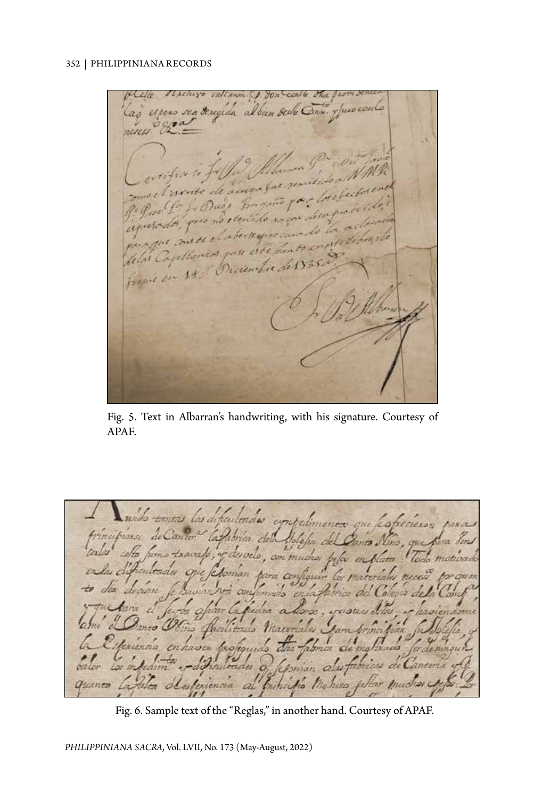espero sea deregida albien sede Enn. y fuse con lo nesess wafaca to  $100 - 100$  $1172$ antes & Deciembre con 14.

Fig. 5. Text in Albarran's handwriting, with his signature. Courtesy of APAF.

mido toutos las difundades expedimentos que experien praise del Carabrica des clin del Cano Nino, que hava cofto fumo travalo, y desodo, con mudiar pela en placa. lodo moti ticultada que Seloman para configuir Cor materiales roi confirmas extantionico del Colegia a ghar Capidra alorse, gastras is Gacilitado *Materiales* ara brinci bi abrica de malina Mexicana haven profesuras dha en loades a del Elsman alasy Los ante Greanto rsenora al principio Menissa faltar muchan

Fig. 6. Sample text of the "Reglas," in another hand. Courtesy of APAF.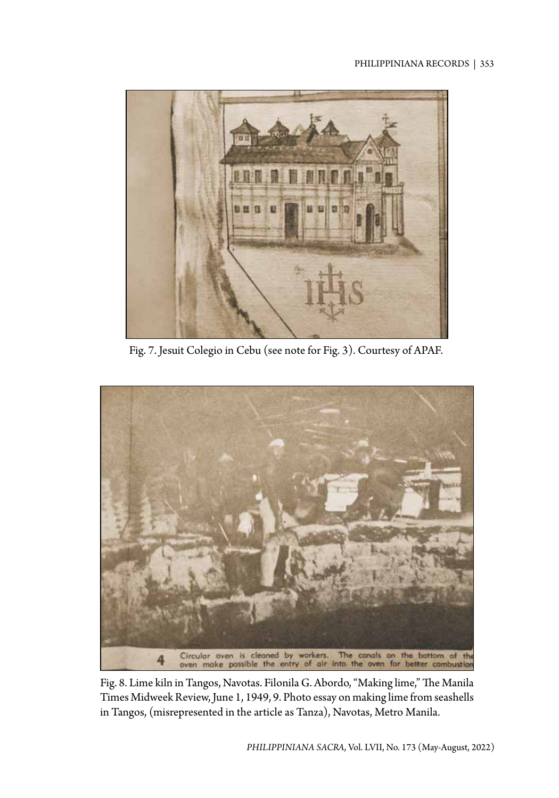

Fig. 7. Jesuit Colegio in Cebu (see note for Fig. 3). Courtesy of APAF.



Fig. 8. Lime kiln in Tangos, Navotas. Filonila G. Abordo, "Making lime," The Manila Times Midweek Review, June 1, 1949, 9. Photo essay on making lime from seashells in Tangos, (misrepresented in the article as Tanza), Navotas, Metro Manila.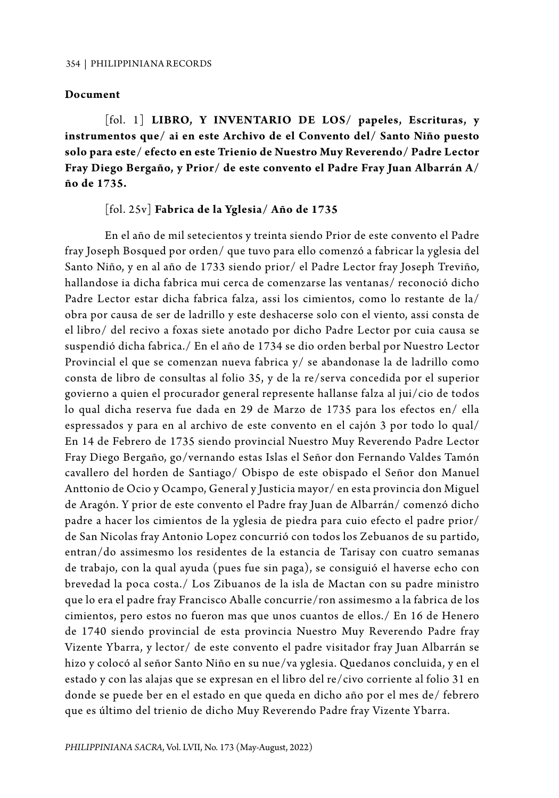#### **Document**

[fol. 1] **LIBRO, Y INVENTARIO DE LOS/ papeles, Escrituras, y instrumentos que/ ai en este Archivo de el Convento del/ Santo Niño puesto solo para este/ efecto en este Trienio de Nuestro Muy Reverendo/ Padre Lector Fray Diego Bergaño, y Prior/ de este convento el Padre Fray Juan Albarrán A/ ño de 1735.**

# [fol. 25v] **Fabrica de la Yglesia/ Año de 1735**

En el año de mil setecientos y treinta siendo Prior de este convento el Padre fray Joseph Bosqued por orden/ que tuvo para ello comenzó a fabricar la yglesia del Santo Niño, y en al año de 1733 siendo prior/ el Padre Lector fray Joseph Treviño, hallandose ia dicha fabrica mui cerca de comenzarse las ventanas/ reconoció dicho Padre Lector estar dicha fabrica falza, assi los cimientos, como lo restante de la/ obra por causa de ser de ladrillo y este deshacerse solo con el viento, assi consta de el libro/ del recivo a foxas siete anotado por dicho Padre Lector por cuia causa se suspendió dicha fabrica./ En el año de 1734 se dio orden berbal por Nuestro Lector Provincial el que se comenzan nueva fabrica y/ se abandonase la de ladrillo como consta de libro de consultas al folio 35, y de la re/serva concedida por el superior govierno a quien el procurador general represente hallanse falza al jui/cio de todos lo qual dicha reserva fue dada en 29 de Marzo de 1735 para los efectos en/ ella espressados y para en al archivo de este convento en el cajón 3 por todo lo qual/ En 14 de Febrero de 1735 siendo provincial Nuestro Muy Reverendo Padre Lector Fray Diego Bergaño, go/vernando estas Islas el Señor don Fernando Valdes Tamón cavallero del horden de Santiago/ Obispo de este obispado el Señor don Manuel Anttonio de Ocio y Ocampo, General y Justicia mayor/ en esta provincia don Miguel de Aragón. Y prior de este convento el Padre fray Juan de Albarrán/ comenzó dicho padre a hacer los cimientos de la yglesia de piedra para cuio efecto el padre prior/ de San Nicolas fray Antonio Lopez concurrió con todos los Zebuanos de su partido, entran/do assimesmo los residentes de la estancia de Tarisay con cuatro semanas de trabajo, con la qual ayuda (pues fue sin paga), se consiguió el haverse echo con brevedad la poca costa./ Los Zibuanos de la isla de Mactan con su padre ministro que lo era el padre fray Francisco Aballe concurrie/ron assimesmo a la fabrica de los cimientos, pero estos no fueron mas que unos cuantos de ellos./ En 16 de Henero de 1740 siendo provincial de esta provincia Nuestro Muy Reverendo Padre fray Vizente Ybarra, y lector/ de este convento el padre visitador fray Juan Albarrán se hizo y colocó al señor Santo Niño en su nue/va yglesia. Quedanos concluida, y en el estado y con las alajas que se expresan en el libro del re/civo corriente al folio 31 en donde se puede ber en el estado en que queda en dicho año por el mes de/ febrero que es último del trienio de dicho Muy Reverendo Padre fray Vizente Ybarra.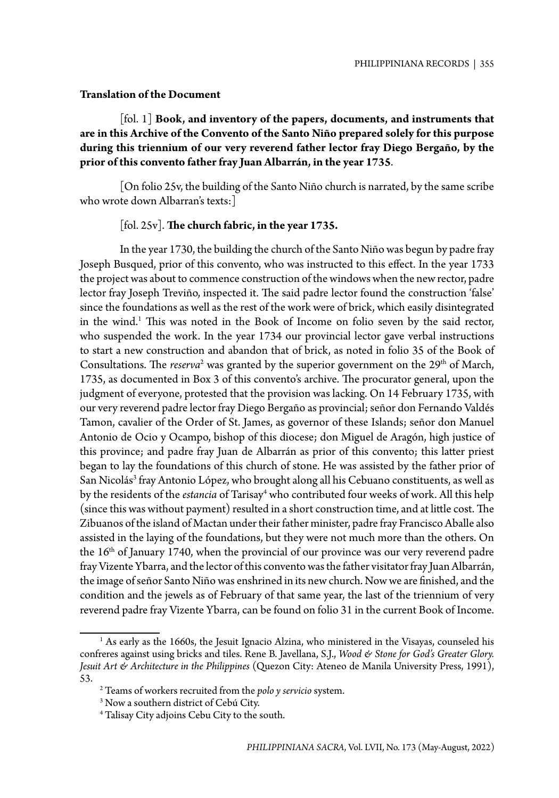# **Translation of the Document**

# [fol. 1] **Book, and inventory of the papers, documents, and instruments that are in this Archive of the Convento of the Santo Niño prepared solely for this purpose during this triennium of our very reverend father lector fray Diego Bergaño, by the prior of this convento father fray Juan Albarrán, in the year 1735**.

[On folio 25v, the building of the Santo Niño church is narrated, by the same scribe who wrote down Albarran's texts:]

# [fol. 25v]. **The church fabric, in the year 1735.**

In the year 1730, the building the church of the Santo Niño was begun by padre fray Joseph Busqued, prior of this convento, who was instructed to this effect. In the year 1733 the project was about to commence construction of the windows when the new rector, padre lector fray Joseph Treviño, inspected it. The said padre lector found the construction 'false' since the foundations as well as the rest of the work were of brick, which easily disintegrated in the wind.<sup>1</sup> This was noted in the Book of Income on folio seven by the said rector, who suspended the work. In the year 1734 our provincial lector gave verbal instructions to start a new construction and abandon that of brick, as noted in folio 35 of the Book of Consultations. The *reserva*<sup>2</sup> was granted by the superior government on the 29<sup>th</sup> of March, 1735, as documented in Box 3 of this convento's archive. The procurator general, upon the judgment of everyone, protested that the provision was lacking. On 14 February 1735, with our very reverend padre lector fray Diego Bergaño as provincial; señor don Fernando Valdés Tamon, cavalier of the Order of St. James, as governor of these Islands; señor don Manuel Antonio de Ocio y Ocampo, bishop of this diocese; don Miguel de Aragón, high justice of this province; and padre fray Juan de Albarrán as prior of this convento; this latter priest began to lay the foundations of this church of stone. He was assisted by the father prior of San Nicolás<sup>3</sup> fray Antonio López, who brought along all his Cebuano constituents, as well as by the residents of the *estancia* of Tarisay<sup>4</sup> who contributed four weeks of work. All this help (since this was without payment) resulted in a short construction time, and at little cost. The Zibuanos of the island of Mactan under their father minister, padre fray Francisco Aballe also assisted in the laying of the foundations, but they were not much more than the others. On the  $16<sup>th</sup>$  of January 1740, when the provincial of our province was our very reverend padre fray Vizente Ybarra, and the lector of this convento was the father visitator fray Juan Albarrán, the image of señor Santo Niño was enshrined in its new church. Now we are finished, and the condition and the jewels as of February of that same year, the last of the triennium of very reverend padre fray Vizente Ybarra, can be found on folio 31 in the current Book of Income.

 $<sup>1</sup>$  As early as the 1660s, the Jesuit Ignacio Alzina, who ministered in the Visayas, counseled his</sup> confreres against using bricks and tiles. Rene B. Javellana, S.J., *Wood & Stone for God's Greater Glory. Jesuit Art & Architecture in the Philippines* (Quezon City: Ateneo de Manila University Press, 1991), 53.

<sup>2</sup> Teams of workers recruited from the *polo y servicio* system.

<sup>3</sup> Now a southern district of Cebú City.

<sup>4</sup> Talisay City adjoins Cebu City to the south.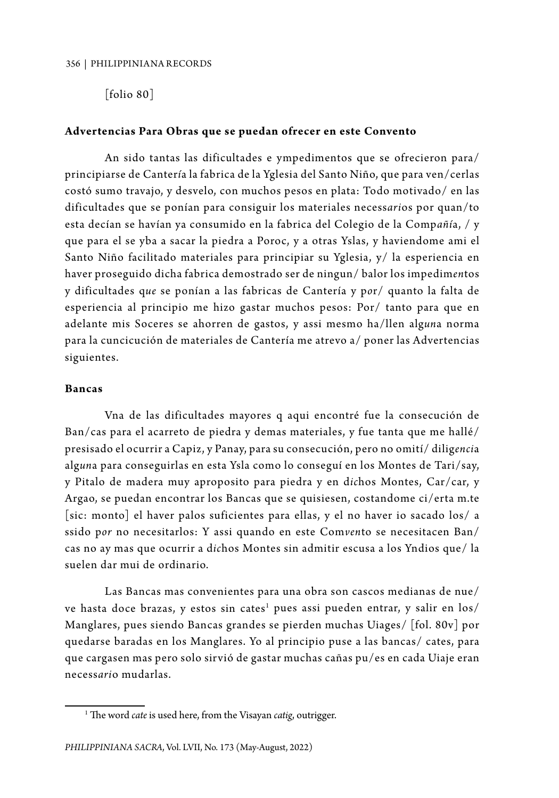[folio 80]

# **Advertencias Para Obras que se puedan ofrecer en este Convento**

An sido tantas las dificultades e ympedimentos que se ofrecieron para/ principiarse de Canter*í*a la fabrica de la Yglesia del Santo Niño, que para ven/cerlas costó sumo travajo, y desvelo, con muchos pesos en plata: Todo motivado/ en las dificultades que se ponían para consiguir los materiales necess*ari*os por quan/to esta decían se havían ya consumido en la fabrica del Colegio de la Comp*añí*a, / y que para el se yba a sacar la piedra a Poroc, y a otras Yslas, y haviendome ami el Santo Niño facilitado materiales para principiar su Yglesia, y/ la esperiencia en haver proseguido dicha fabrica demostrado ser de ningun/ balor los impedim*en*tos y dificultades q*ue* se ponían a las fabricas de Cantería y p*o*r/ quanto la falta de esperiencia al principio me hizo gastar muchos pesos: Por/ tanto para que en adelante mis Soceres se ahorren de gastos, y assi mesmo ha/llen alg*un*a norma para la cuncicución de materiales de Cantería me atrevo a/ poner las Advertencias siguientes.

## **Bancas**

Vna de las dificultades mayores q aqui encontré fue la consecución de Ban/cas para el acarreto de piedra y demas materiales, y fue tanta que me hallé/ presisado el ocurrir a Capiz, y Panay, para su consecución, pero no omití/ dilig*enci*a alg*un*a para conseguirlas en esta Ysla como lo conseguí en los Montes de Tari/say, y Pitalo de madera muy aproposito para piedra y en d*ic*hos Montes, Car/car, y Argao, se puedan encontrar los Bancas que se quisiesen, costandome ci/erta m.te [sic: monto] el haver palos suficientes para ellas, y el no haver io sacado los/ a ssido p*or* no necesitarlos: Y assi quando en este Com*ven*to se necesitacen Ban/ cas no ay mas que ocurrir a d*ic*hos Montes sin admitir escusa a los Yndios que/ la suelen dar mui de ordinario.

Las Bancas mas convenientes para una obra son cascos medianas de nue/ ve hasta doce brazas, y estos sin cates $^{\rm l}$  pues assi pueden entrar, y salir en los/ Manglares, pues siendo Bancas grandes se pierden muchas Uiages/ [fol. 80v] por quedarse baradas en los Manglares. Yo al principio puse a las bancas/ cates, para que cargasen mas pero solo sirvió de gastar muchas cañas pu/es en cada Uiaje eran necess*ari*o mudarlas.

<sup>1</sup> The word *cate* is used here, from the Visayan *catig*, outrigger.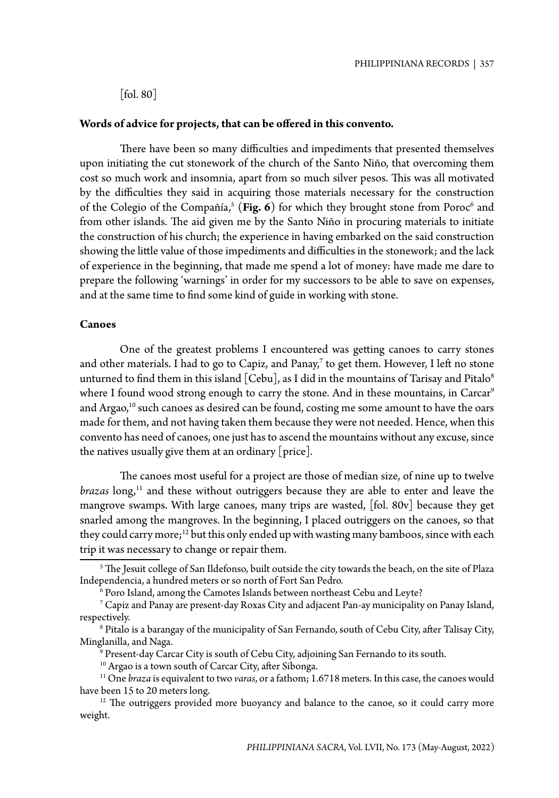# [fol. 80]

#### **Words of advice for projects, that can be offered in this convento.**

There have been so many difficulties and impediments that presented themselves upon initiating the cut stonework of the church of the Santo Niño, that overcoming them cost so much work and insomnia, apart from so much silver pesos. This was all motivated by the difficulties they said in acquiring those materials necessary for the construction of the Colegio of the Compañía,<sup>5</sup> (**Fig. 6**) for which they brought stone from Poroc<sup>6</sup> and from other islands. The aid given me by the Santo Niño in procuring materials to initiate the construction of his church; the experience in having embarked on the said construction showing the little value of those impediments and difficulties in the stonework; and the lack of experience in the beginning, that made me spend a lot of money: have made me dare to prepare the following 'warnings' in order for my successors to be able to save on expenses, and at the same time to find some kind of guide in working with stone.

#### **Canoes**

One of the greatest problems I encountered was getting canoes to carry stones and other materials. I had to go to Capiz, and Panay,<sup>7</sup> to get them. However, I left no stone unturned to find them in this island  $\lceil \text{Cebu} \rceil$ , as I did in the mountains of Tarisay and Pitalo<sup>8</sup> where I found wood strong enough to carry the stone. And in these mountains, in Carcar<sup>9</sup> and Argao, $10$  such canoes as desired can be found, costing me some amount to have the oars made for them, and not having taken them because they were not needed. Hence, when this convento has need of canoes, one just has to ascend the mountains without any excuse, since the natives usually give them at an ordinary [price].

The canoes most useful for a project are those of median size, of nine up to twelve *brazas* long,<sup>11</sup> and these without outriggers because they are able to enter and leave the mangrove swamps. With large canoes, many trips are wasted, [fol. 80v] because they get snarled among the mangroves. In the beginning, I placed outriggers on the canoes, so that they could carry more;<sup>12</sup> but this only ended up with wasting many bamboos, since with each trip it was necessary to change or repair them.

 $^{\rm 5}$  The Jesuit college of San Ildefonso, built outside the city towards the beach, on the site of Plaza Independencia, a hundred meters or so north of Fort San Pedro.

 $6$  Poro Island, among the Camotes Islands between northeast Cebu and Leyte?

 $^7$  Capiz and Panay are present-day Roxas City and adjacent Pan-ay municipality on Panay Island, respectively.

<sup>&</sup>lt;sup>8</sup> Pitalo is a barangay of the municipality of San Fernando, south of Cebu City, after Talisay City, Minglanilla, and Naga.

<sup>9</sup> Present-day Carcar City is south of Cebu City, adjoining San Fernando to its south.

<sup>&</sup>lt;sup>10</sup> Argao is a town south of Carcar City, after Sibonga.

<sup>11</sup> One *braza* is equivalent to two *varas*, or a fathom; 1.6718 meters. In this case, the canoes would have been 15 to 20 meters long.

 $12$  The outriggers provided more buoyancy and balance to the canoe, so it could carry more weight.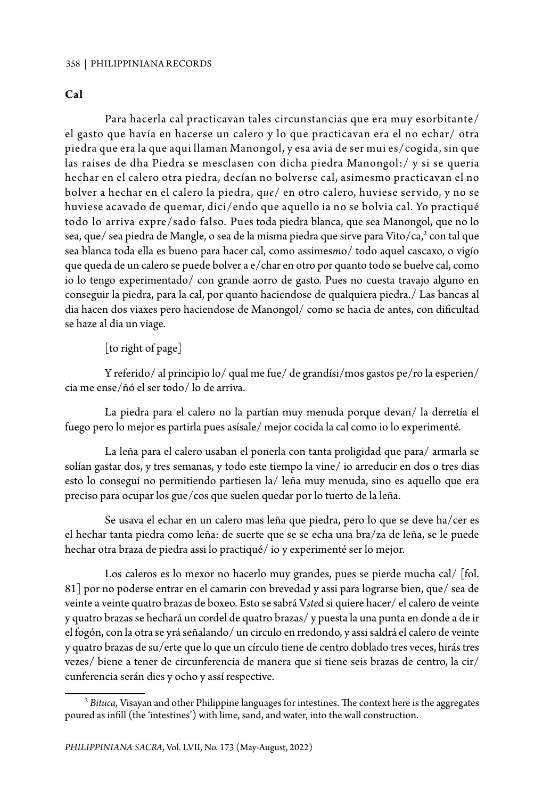# **Cal**

Para hacerla cal practicavan tales circunstancias que era muy esorbitante/ el gasto que havía en hacerse un calero y lo que practicavan era el no echar/ otra piedra que era la que aqui llaman Manongol, y esa avia de ser mui es/cogida, sin que las raises de dha Piedra se mesclasen con dicha piedra Manongol:/ y si se queria hechar en el calero otra piedra, decían no bolverse cal, asimesmo practicavan el no bolver a hechar en el calero la piedra, q*ue*/ en otro calero, huviese servido, y no se huviese acavado de quemar, dici/endo que aquello ia no se bolvia cal. Yo practiqué todo lo arriva expre/sado falso. Pues toda piedra blanca, que sea Manongol, que no lo sea, que/ sea piedra de Mangle, o sea de la misma piedra que sirve para Vito/ca, $^2$  con tal que sea blanca toda ella es bueno para hacer cal, como assimes*m*o/ todo aquel cascaxo, o vigío que queda de un calero se puede bolver a e/char en otro p*o*r quanto todo se buelve cal, como io lo tengo experimentado/ con grande aorro de gasto. Pues no cuesta travajo alguno en conseguir la piedra, para la cal, por quanto haciendose de qualquiera piedra./ Las bancas al dia hacen dos viaxes pero haciendose de Manongol/ como se hacia de antes, con dificultad se haze al dia un viage.

[to right of page]

Y referido/ al principio lo/ qual me fue/ de grandísi/mos gastos pe/ro la esperien/ cia me ense/ñó el ser todo/ lo de arriva.

La piedra para el calero no la partían muy menuda porque devan/ la derretía el fuego pero lo mejor es partirla pues asísale/ mejor cocida la cal como io lo experimenté.

La leña para el calero usaban el ponerla con tanta proligidad que para/ armarla se solían gastar dos, y tres semanas, y todo este tiempo la vine/ io arreducir en dos o tres dias esto lo conseguí no permitiendo partiesen la/ leña muy menuda, sino es aquello que era preciso para ocupar los gue/cos que suelen quedar por lo tuerto de la leña.

Se usava el echar en un calero mas leña que piedra, pero lo que se deve ha/cer es el hechar tanta piedra como leña: de suerte que se se echa una bra/za de leña, se le puede hechar otra braza de piedra assi lo practiqué/ io y experimenté ser lo mejor.

Los caleros es lo mexor no hacerlo muy grandes, pues se pierde mucha cal/ [fol. 81] por no poderse entrar en el camarin con brevedad y assi para lograrse bien, que/ sea de veinte a veinte quatro brazas de boxeo. Esto se sabrá V*ste*d si quiere hacer/ el calero de veinte y quatro brazas se hechará un cordel de quatro brazas/ y puesta la una punta en donde a de ir el fogón, con la otra se yrá señalando/ un circulo en rredondo, y assi saldrá el calero de veinte y quatro brazas de su/erte que lo que un círculo tiene de centro doblado tres veces, hirás tres vezes/ biene a tener de circunferencia de manera que si tiene seis brazas de centro, la cir/ cunferencia serán dies y ocho y assí respective.

<sup>2</sup> *Bituca*, Visayan and other Philippine languages for intestines. The context here is the aggregates poured as infill (the 'intestines') with lime, sand, and water, into the wall construction.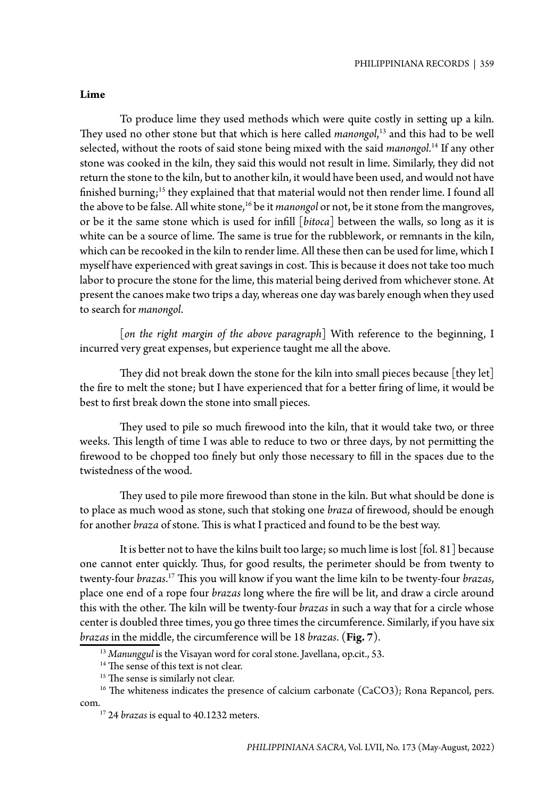## **Lime**

To produce lime they used methods which were quite costly in setting up a kiln. They used no other stone but that which is here called *manongol*, 13 and this had to be well selected, without the roots of said stone being mixed with the said *manongol*. 14 If any other stone was cooked in the kiln, they said this would not result in lime. Similarly, they did not return the stone to the kiln, but to another kiln, it would have been used, and would not have finished burning;<sup>15</sup> they explained that that material would not then render lime. I found all the above to be false. All white stone,<sup>16</sup> be it *manongol* or not, be it stone from the mangroves, or be it the same stone which is used for infill [*bitoca*] between the walls, so long as it is white can be a source of lime. The same is true for the rubblework, or remnants in the kiln, which can be recooked in the kiln to render lime. All these then can be used for lime, which I myself have experienced with great savings in cost. This is because it does not take too much labor to procure the stone for the lime, this material being derived from whichever stone. At present the canoes make two trips a day, whereas one day was barely enough when they used to search for *manongol*.

[*on the right margin of the above paragraph*] With reference to the beginning, I incurred very great expenses, but experience taught me all the above.

They did not break down the stone for the kiln into small pieces because [they let] the fire to melt the stone; but I have experienced that for a better firing of lime, it would be best to first break down the stone into small pieces.

They used to pile so much firewood into the kiln, that it would take two, or three weeks. This length of time I was able to reduce to two or three days, by not permitting the firewood to be chopped too finely but only those necessary to fill in the spaces due to the twistedness of the wood.

They used to pile more firewood than stone in the kiln. But what should be done is to place as much wood as stone, such that stoking one *braza* of firewood, should be enough for another *braza* of stone. This is what I practiced and found to be the best way.

It is better not to have the kilns built too large; so much lime is lost [fol. 81] because one cannot enter quickly. Thus, for good results, the perimeter should be from twenty to twenty-four *brazas*. 17 This you will know if you want the lime kiln to be twenty-four *brazas*, place one end of a rope four *brazas* long where the fire will be lit, and draw a circle around this with the other. The kiln will be twenty-four *brazas* in such a way that for a circle whose center is doubled three times, you go three times the circumference. Similarly, if you have six *brazas* in the middle, the circumference will be 18 *brazas*. (**Fig. 7**).

<sup>13</sup> *Manunggul* is the Visayan word for coral stone. Javellana, op.cit., 53.

<sup>&</sup>lt;sup>14</sup> The sense of this text is not clear.

<sup>&</sup>lt;sup>15</sup> The sense is similarly not clear.

<sup>&</sup>lt;sup>16</sup> The whiteness indicates the presence of calcium carbonate (CaCO3); Rona Repancol, pers. com.17 24 *brazas* is equal to 40.1232 meters.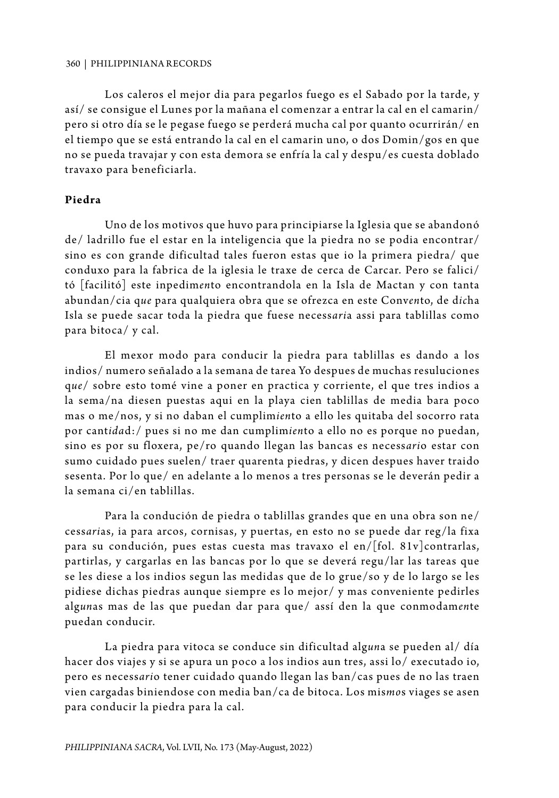Los caleros el mejor dia para pegarlos fuego es el Sabado por la tarde, y así/ se consigue el Lunes por la mañana el comenzar a entrar la cal en el camarin/ pero si otro día se le pegase fuego se perderá mucha cal por quanto ocurrirán/ en el tiempo que se está entrando la cal en el camarin uno, o dos Domin/gos en que no se pueda travajar y con esta demora se enfría la cal y despu/es cuesta doblado travaxo para beneficiarla.

## **Piedra**

Uno de los motivos que huvo para principiarse la Iglesia que se abandonó de/ ladrillo fue el estar en la inteligencia que la piedra no se podia encontrar/ sino es con grande dificultad tales fueron estas que io la primera piedra/ que conduxo para la fabrica de la iglesia le traxe de cerca de Carcar. Pero se falici/ tó [facilitó] este inpedim*en*to encontrandola en la Isla de Mactan y con tanta abundan/cia q*ue* para qualquiera obra que se ofrezca en este Conv*en*to, de d*ic*ha Isla se puede sacar toda la piedra que fuese necess*ari*a assi para tablillas como para bitoca/ y cal.

El mexor modo para conducir la piedra para tablillas es dando a los indios/ numero señalado a la semana de tarea Yo despues de muchas resuluciones q*ue*/ sobre esto tomé vine a poner en practica y corriente, el que tres indios a la sema/na diesen puestas aqui en la playa cien tablillas de media bara poco mas o me/nos, y si no daban el cumplim*ien*to a ello les quitaba del socorro rata por cant*ida*d:/ pues si no me dan cumplim*ien*to a ello no es porque no puedan, sino es por su floxera, pe/ro quando llegan las bancas es necess*ari*o estar con sumo cuidado pues suelen/ traer quarenta piedras, y dicen despues haver traido sesenta. Por lo que/ en adelante a lo menos a tres personas se le deverán pedir a la semana ci/en tablillas.

Para la condución de piedra o tablillas grandes que en una obra son ne/ cess*ari*as, ia para arcos, cornisas, y puertas, en esto no se puede dar reg/la fixa para su condución, pues estas cuesta mas travaxo el en/[fol. 81v]contrarlas, partirlas, y cargarlas en las bancas por lo que se deverá regu/lar las tareas que se les diese a los indios segun las medidas que de lo grue/so y de lo largo se les pidiese dichas piedras aunque siempre es lo mejor/ y mas conveniente pedirles alg*un*as mas de las que puedan dar para que/ assí den la que conmodam*en*te puedan conducir.

La piedra para vitoca se conduce sin dificultad alg*un*a se pueden al/ día hacer dos viajes y si se apura un poco a los indios aun tres, assi lo/ executado io, pero es necess*ari*o tener cuidado quando llegan las ban/cas pues de no las traen vien cargadas biniendose con media ban/ca de bitoca. Los mis*mo*s viages se asen para conducir la piedra para la cal.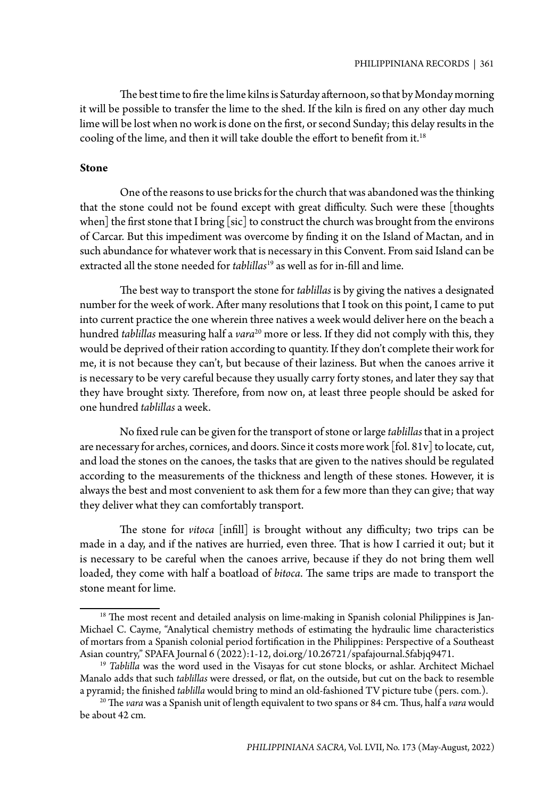The best time to fire the lime kilns is Saturday afternoon, so that by Monday morning it will be possible to transfer the lime to the shed. If the kiln is fired on any other day much lime will be lost when no work is done on the first, or second Sunday; this delay results in the cooling of the lime, and then it will take double the effort to benefit from it.<sup>18</sup>

## **Stone**

One of the reasons to use bricks for the church that was abandoned was the thinking that the stone could not be found except with great difficulty. Such were these [thoughts when] the first stone that I bring [sic] to construct the church was brought from the environs of Carcar. But this impediment was overcome by finding it on the Island of Mactan, and in such abundance for whatever work that is necessary in this Convent. From said Island can be extracted all the stone needed for *tablillas*<sup>19</sup> as well as for in-fill and lime.

The best way to transport the stone for *tablillas* is by giving the natives a designated number for the week of work. After many resolutions that I took on this point, I came to put into current practice the one wherein three natives a week would deliver here on the beach a hundred *tablillas* measuring half a *vara*<sup>20</sup> more or less. If they did not comply with this, they would be deprived of their ration according to quantity. If they don't complete their work for me, it is not because they can't, but because of their laziness. But when the canoes arrive it is necessary to be very careful because they usually carry forty stones, and later they say that they have brought sixty. Therefore, from now on, at least three people should be asked for one hundred *tablillas* a week.

No fixed rule can be given for the transport of stone or large *tablillas* that in a project are necessary for arches, cornices, and doors. Since it costs more work [fol.  $81v$ ] to locate, cut, and load the stones on the canoes, the tasks that are given to the natives should be regulated according to the measurements of the thickness and length of these stones. However, it is always the best and most convenient to ask them for a few more than they can give; that way they deliver what they can comfortably transport.

The stone for *vitoca* [infill] is brought without any difficulty; two trips can be made in a day, and if the natives are hurried, even three. That is how I carried it out; but it is necessary to be careful when the canoes arrive, because if they do not bring them well loaded, they come with half a boatload of *bitoca*. The same trips are made to transport the stone meant for lime.

<sup>&</sup>lt;sup>18</sup> The most recent and detailed analysis on lime-making in Spanish colonial Philippines is Jan-Michael C. Cayme, "Analytical chemistry methods of estimating the hydraulic lime characteristics of mortars from a Spanish colonial period fortification in the Philippines: Perspective of a Southeast Asian country," SPAFA Journal 6 (2022):1-12, doi.org/10.26721/spafajournal.5fabjq9471.

<sup>&</sup>lt;sup>19</sup> Tablilla was the word used in the Visayas for cut stone blocks, or ashlar. Architect Michael Manalo adds that such *tablillas* were dressed, or flat, on the outside, but cut on the back to resemble a pyramid; the finished *tablilla* would bring to mind an old-fashioned TV picture tube (pers. com.).

<sup>20</sup> The *vara* was a Spanish unit of length equivalent to two spans or 84 cm. Thus, half a *vara* would be about 42 cm.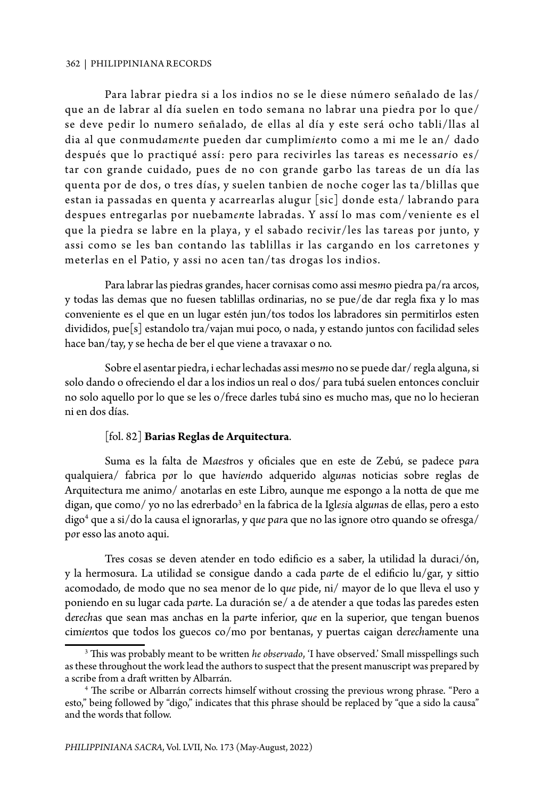Para labrar piedra si a los indios no se le diese número señalado de las/ que an de labrar al día suelen en todo semana no labrar una piedra por lo que/ se deve pedir lo numero señalado, de ellas al día y este será ocho tabli/llas al dia al que conmud*a*m*en*te pueden dar cumplim*ien*to como a mi me le an/ dado después que lo practiqué assí: pero para recivirles las tareas es necess*ari*o es/ tar con grande cuidado, pues de no con grande garbo las tareas de un día las quenta por de dos, o tres días, y suelen tanbien de noche coger las ta/blillas que estan ia passadas en quenta y acarrearlas alugur [sic] donde esta/ labrando para despues entregarlas por nuebam*en*te labradas. Y assí lo mas com/veniente es el que la piedra se labre en la playa, y el sabado recivir/les las tareas por junto, y assi como se les ban contando las tablillas ir las cargando en los carretones y meterlas en el Patio, y assi no acen tan/tas drogas los indios.

Para labrar las piedras grandes, hacer cornisas como assi mes*m*o piedra pa/ra arcos, y todas las demas que no fuesen tablillas ordinarias, no se pue/de dar regla fixa y lo mas conveniente es el que en un lugar estén jun/tos todos los labradores sin permitirlos esten divididos, pue[s] estandolo tra/vajan mui poco, o nada, y estando juntos con facilidad seles hace ban/tay, y se hecha de ber el que viene a travaxar o no.

Sobre el asentar piedra, i echar lechadas assi mes*m*o no se puede dar/ regla alguna, si solo dando o ofreciendo el dar a los indios un real o dos/ para tubá suelen entonces concluir no solo aquello por lo que se les o/frece darles tubá sino es mucho mas, que no lo hecieran ni en dos días.

#### [fol. 82] **Barias Reglas de Arquitectura**.

Suma es la falta de M*aest*ros y oficiales que en este de Zebú, se padece p*ar*a qualquiera/ fabrica p*o*r lo que hav*ien*do adquerido alg*un*as noticias sobre reglas de Arquitectura me animo/ anotarlas en este Libro, aunque me espongo a la notta de que me digan, que como/ yo no las edrerbado<sup>3</sup> en la fabrica de la Igl*esi*a alg*un*as de ellas, pero a esto digo4 que a si/do la causa el ignorarlas, y q*ue* p*ar*a que no las ignore otro quando se ofresga/ p*o*r esso las anoto aqui.

Tres cosas se deven atender en todo edificio es a saber, la utilidad la duraci/ón, y la hermosura. La utilidad se consigue dando a cada p*ar*te de el edificio lu/gar, y sittio acomodado, de modo que no sea menor de lo q*ue* pide, ni/ mayor de lo que lleva el uso y poniendo en su lugar cada p*ar*te. La duración se/ a de atender a que todas las paredes esten d*e*r*ech*as que sean mas anchas en la p*ar*te inferior, q*ue* en la superior, que tengan buenos cim*ien*tos que todos los guecos co/mo por bentanas, y puertas caigan d*e*r*ech*amente una

<sup>3</sup> This was probably meant to be written *he observado*, 'I have observed.' Small misspellings such as these throughout the work lead the authors to suspect that the present manuscript was prepared by a scribe from a draft written by Albarrán. 4

The scribe or Albarrán corrects himself without crossing the previous wrong phrase. "Pero a esto," being followed by "digo," indicates that this phrase should be replaced by "que a sido la causa" and the words that follow.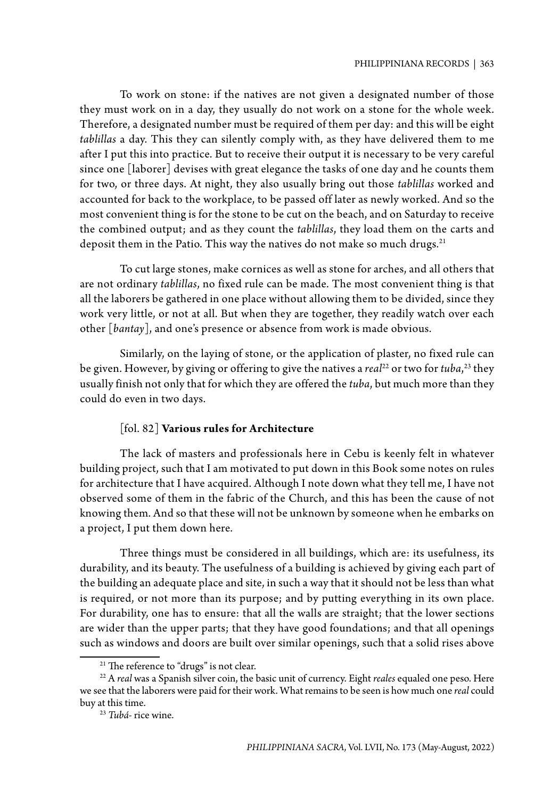To work on stone: if the natives are not given a designated number of those they must work on in a day, they usually do not work on a stone for the whole week. Therefore, a designated number must be required of them per day: and this will be eight *tablillas* a day. This they can silently comply with, as they have delivered them to me after I put this into practice. But to receive their output it is necessary to be very careful since one [laborer] devises with great elegance the tasks of one day and he counts them for two, or three days. At night, they also usually bring out those *tablillas* worked and accounted for back to the workplace, to be passed off later as newly worked. And so the most convenient thing is for the stone to be cut on the beach, and on Saturday to receive the combined output; and as they count the *tablillas*, they load them on the carts and deposit them in the Patio. This way the natives do not make so much drugs.<sup>21</sup>

To cut large stones, make cornices as well as stone for arches, and all others that are not ordinary *tablillas*, no fixed rule can be made. The most convenient thing is that all the laborers be gathered in one place without allowing them to be divided, since they work very little, or not at all. But when they are together, they readily watch over each other [*bantay*], and one's presence or absence from work is made obvious.

Similarly, on the laying of stone, or the application of plaster, no fixed rule can be given. However, by giving or offering to give the natives a *real*22 or two for *tuba*, 23 they usually finish not only that for which they are offered the *tuba*, but much more than they could do even in two days.

# [fol. 82] **Various rules for Architecture**

The lack of masters and professionals here in Cebu is keenly felt in whatever building project, such that I am motivated to put down in this Book some notes on rules for architecture that I have acquired. Although I note down what they tell me, I have not observed some of them in the fabric of the Church, and this has been the cause of not knowing them. And so that these will not be unknown by someone when he embarks on a project, I put them down here.

Three things must be considered in all buildings, which are: its usefulness, its durability, and its beauty. The usefulness of a building is achieved by giving each part of the building an adequate place and site, in such a way that it should not be less than what is required, or not more than its purpose; and by putting everything in its own place. For durability, one has to ensure: that all the walls are straight; that the lower sections are wider than the upper parts; that they have good foundations; and that all openings such as windows and doors are built over similar openings, such that a solid rises above

<sup>&</sup>lt;sup>21</sup> The reference to "drugs" is not clear.

<sup>22</sup> A *real* was a Spanish silver coin, the basic unit of currency. Eight *reales* equaled one peso. Here we see that the laborers were paid for their work. What remains to be seen is how much one *real* could buy at this time.

<sup>23</sup> *Tubá*- rice wine.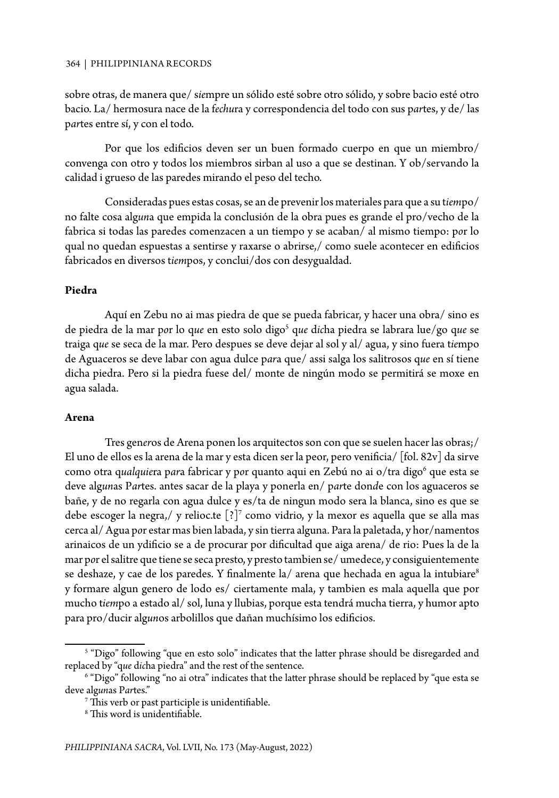sobre otras, de manera que/ s*ie*mpre un sólido esté sobre otro sólido, y sobre bacio esté otro bacio. La/ hermosura nace de la f*echu*ra y correspondencia del todo con sus p*ar*tes, y de/ las p*ar*tes entre sí, y con el todo.

Por que los edificios deven ser un buen formado cuerpo en que un miembro/ convenga con otro y todos los miembros sirban al uso a que se destinan. Y ob/servando la calidad i grueso de las paredes mirando el peso del techo.

Consideradas pues estas cosas, se an de prevenir los materiales para que a su t*iem*po/ no falte cosa alg*un*a que empida la conclusión de la obra pues es grande el pro/vecho de la fabrica si todas las paredes comenzacen a un tiempo y se acaban/ al mismo tiempo: p*o*r lo qual no quedan espuestas a sentirse y raxarse o abrirse,/ como suele acontecer en edificios fabricados en diversos t*iem*pos, y conclui/dos con desygualdad.

#### **Piedra**

Aquí en Zebu no ai mas piedra de que se pueda fabricar, y hacer una obra/ sino es de piedra de la mar p*o*r lo q*ue* en esto solo digo5 q*ue* d*ic*ha piedra se labrara lue/go q*ue* se traiga q*ue* se seca de la mar. Pero despues se deve dejar al sol y al/ agua, y sino fuera t*ie*mpo de Aguaceros se deve labar con agua dulce p*ar*a que/ assi salga los salitrosos q*ue* en sí tiene dicha piedra. Pero si la piedra fuese del/ monte de ningún modo se permitirá se moxe en agua salada.

## **Arena**

Tres gen*er*os de Arena ponen los arquitectos son con que se suelen hacer las obras;/ El uno de ellos es la arena de la mar y esta dicen ser la peor, pero venificia/ [fol. 82v] da sirve como otra q*ualquie*ra p*ar*a fabricar y pør quanto aqui en Zebú no ai o/tra digo<sup>6</sup> que esta se deve alg*un*as P*ar*tes. antes sacar de la playa y ponerla en/ p*ar*te don*d*e con los aguaceros se bañe, y de no regarla con agua dulce y es/ta de ningun modo sera la blanca, sino es que se debe escoger la negra,/ y relioc.te [?]7 como vidrio, y la mexor es aquella que se alla mas cerca al/ Agua p*o*r estar mas bien labada, y sin tierra alguna. Para la paletada, y hor/namentos arinaicos de un ydificio se a de procurar por dificultad que aiga arena/ de rio: Pues la de la mar p*o*r el salitre que tiene se seca presto, y presto tambien se/ umedece, y consiguientemente se deshaze, y cae de los paredes. Y finalmente la/ arena que hechada en agua la intubiare<sup>8</sup> y formare algun genero de lodo es/ ciertamente mala, y tambien es mala aquella que por mucho t*iem*po a estado al/ sol, luna y llubias, porque esta tendrá mucha tierra, y humor apto para pro/ducir alg*un*os arbolillos que dañan muchísimo los edificios.

 $5$  "Digo" following "que en esto solo" indicates that the latter phrase should be disregarded and replaced by "q*ue* d*ic*ha piedra" and the rest of the sentence.

<sup>6</sup> "Digo" following "no ai otra" indicates that the latter phrase should be replaced by "que esta se deve alg*un*as P*ar*tes."

 $\frac{7}{7}$  This verb or past participle is unidentifiable.

<sup>8</sup> This word is unidentifiable.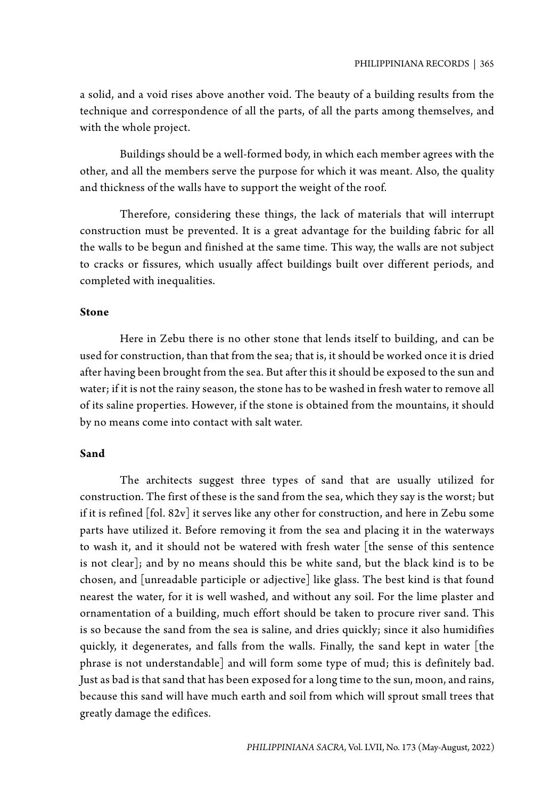a solid, and a void rises above another void. The beauty of a building results from the technique and correspondence of all the parts, of all the parts among themselves, and with the whole project.

Buildings should be a well-formed body, in which each member agrees with the other, and all the members serve the purpose for which it was meant. Also, the quality and thickness of the walls have to support the weight of the roof.

Therefore, considering these things, the lack of materials that will interrupt construction must be prevented. It is a great advantage for the building fabric for all the walls to be begun and finished at the same time. This way, the walls are not subject to cracks or fissures, which usually affect buildings built over different periods, and completed with inequalities.

#### **Stone**

Here in Zebu there is no other stone that lends itself to building, and can be used for construction, than that from the sea; that is, it should be worked once it is dried after having been brought from the sea. But after this it should be exposed to the sun and water; if it is not the rainy season, the stone has to be washed in fresh water to remove all of its saline properties. However, if the stone is obtained from the mountains, it should by no means come into contact with salt water.

# **Sand**

The architects suggest three types of sand that are usually utilized for construction. The first of these is the sand from the sea, which they say is the worst; but if it is refined [fol. 82v] it serves like any other for construction, and here in Zebu some parts have utilized it. Before removing it from the sea and placing it in the waterways to wash it, and it should not be watered with fresh water [the sense of this sentence is not clear]; and by no means should this be white sand, but the black kind is to be chosen, and [unreadable participle or adjective] like glass. The best kind is that found nearest the water, for it is well washed, and without any soil. For the lime plaster and ornamentation of a building, much effort should be taken to procure river sand. This is so because the sand from the sea is saline, and dries quickly; since it also humidifies quickly, it degenerates, and falls from the walls. Finally, the sand kept in water [the phrase is not understandable] and will form some type of mud; this is definitely bad. Just as bad is that sand that has been exposed for a long time to the sun, moon, and rains, because this sand will have much earth and soil from which will sprout small trees that greatly damage the edifices.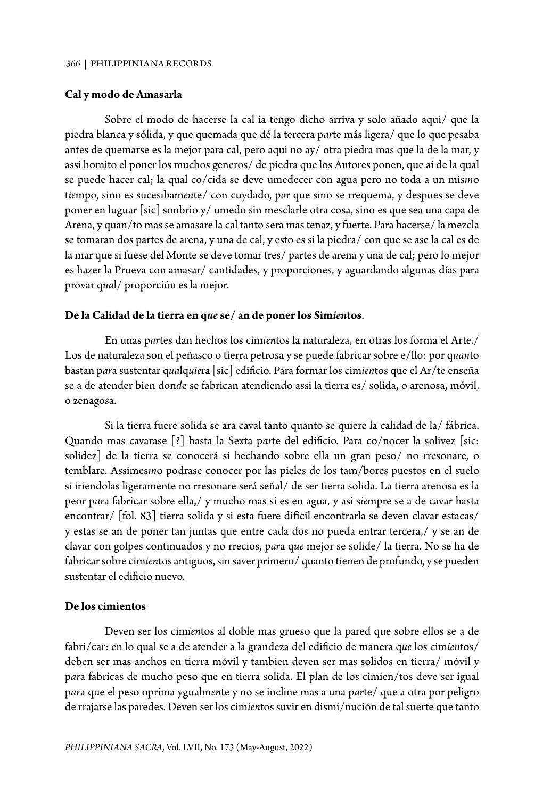#### **Cal y modo de Amasarla**

Sobre el modo de hacerse la cal ia tengo dicho arriva y solo añado aqui/ que la piedra blanca y sólida, y que quemada que dé la tercera p*ar*te más ligera/ que lo que pesaba antes de quemarse es la mejor para cal, pero aqui no ay/ otra piedra mas que la de la mar, y assi homito el poner los muchos generos/ de piedra que los Autores ponen, que ai de la qual se puede hacer cal; la qual co/cida se deve umedecer con agua pero no toda a un mis*m*o t*ie*mpo, sino es sucesibam*en*te/ con cuydado, p*o*r que sino se rrequema, y despues se deve poner en luguar [sic] sonbrio y/ umedo sin mesclarle otra cosa, sino es que sea una capa de Arena, y quan/to mas se amasare la cal tanto sera mas tenaz, y fuerte. Para hacerse/ la mezcla se tomaran dos partes de arena, y una de cal, y esto es si la piedra/ con que se ase la cal es de la mar que si fuese del Monte se deve tomar tres/ partes de arena y una de cal; pero lo mejor es hazer la Prueva con amasar/ cantidades, y proporciones, y aguardando algunas días para provar q*ua*l/ proporción es la mejor.

#### **De la Calidad de la tierra en q***ue* **se/ an de poner los Sim***ien***tos**.

En unas p*ar*tes dan hechos los cim*ien*tos la naturaleza, en otras los forma el Arte./ Los de naturaleza son el peñasco o tierra petrosa y se puede fabricar sobre e/llo: por q*uan*to bastan p*ar*a sustentar q*ua*lq*uie*ra [sic] edificio. Para formar los cim*ien*tos que el Ar/te enseña se a de atender bien don*d*e se fabrican atendiendo assi la tierra es/ solida, o arenosa, móvil, o zenagosa.

Si la tierra fuere solida se ara caval tanto quanto se quiere la calidad de la/ fábrica. Quando mas cavarase [?] hasta la Sexta p*ar*te del edificio. Para co/nocer la solivez [sic: solidez] de la tierra se conocerá si hechando sobre ella un gran peso/ no rresonare, o temblare. Assimes*m*o podrase conocer por las pieles de los tam/bores puestos en el suelo si iriendolas ligeramente no rresonare será señal/ de ser tierra solida. La tierra arenosa es la peor p*ar*a fabricar sobre ella,/ y mucho mas si es en agua, y asi s*ie*mpre se a de cavar hasta encontrar/ [fol. 83] tierra solida y si esta fuere difícil encontrarla se deven clavar estacas/ y estas se an de poner tan juntas que entre cada dos no pueda entrar tercera,/ y se an de clavar con golpes continuados y no rrecios, p*ar*a q*ue* mejor se solide/ la tierra. No se ha de fabricar sobre cim*ien*tos antiguos, sin saver primero/ quanto tienen de profundo, y se pueden sustentar el edificio nuevo.

#### **De los cimientos**

Deven ser los cim*ien*tos al doble mas grueso que la pared que sobre ellos se a de fabri/car: en lo qual se a de atender a la grandeza del edificio de manera q*ue* los cim*ien*tos/ deben ser mas anchos en tierra móvil y tambien deven ser mas solidos en tierra/ móvil y p*ar*a fabricas de mucho peso que en tierra solida. El plan de los cimien/tos deve ser igual p*ar*a que el peso oprima ygualm*en*te y no se incline mas a una p*ar*te/ que a otra por peligro de rrajarse las paredes. Deven ser los cim*ien*tos suvir en dismi/nución de tal suerte que tanto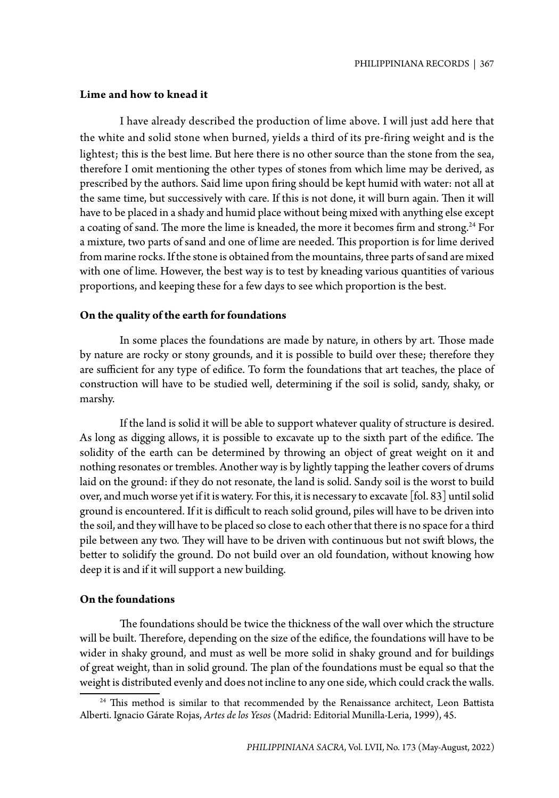## **Lime and how to knead it**

I have already described the production of lime above. I will just add here that the white and solid stone when burned, yields a third of its pre-firing weight and is the lightest; this is the best lime. But here there is no other source than the stone from the sea, therefore I omit mentioning the other types of stones from which lime may be derived, as prescribed by the authors. Said lime upon firing should be kept humid with water: not all at the same time, but successively with care. If this is not done, it will burn again. Then it will have to be placed in a shady and humid place without being mixed with anything else except a coating of sand. The more the lime is kneaded, the more it becomes firm and strong.<sup>24</sup> For a mixture, two parts of sand and one of lime are needed. This proportion is for lime derived from marine rocks. If the stone is obtained from the mountains, three parts of sand are mixed with one of lime. However, the best way is to test by kneading various quantities of various proportions, and keeping these for a few days to see which proportion is the best.

### **On the quality of the earth for foundations**

In some places the foundations are made by nature, in others by art. Those made by nature are rocky or stony grounds, and it is possible to build over these; therefore they are sufficient for any type of edifice. To form the foundations that art teaches, the place of construction will have to be studied well, determining if the soil is solid, sandy, shaky, or marshy.

If the land is solid it will be able to support whatever quality of structure is desired. As long as digging allows, it is possible to excavate up to the sixth part of the edifice. The solidity of the earth can be determined by throwing an object of great weight on it and nothing resonates or trembles. Another way is by lightly tapping the leather covers of drums laid on the ground: if they do not resonate, the land is solid. Sandy soil is the worst to build over, and much worse yet if it is watery. For this, it is necessary to excavate [fol. 83] until solid ground is encountered. If it is difficult to reach solid ground, piles will have to be driven into the soil, and they will have to be placed so close to each other that there is no space for a third pile between any two. They will have to be driven with continuous but not swift blows, the better to solidify the ground. Do not build over an old foundation, without knowing how deep it is and if it will support a new building.

#### **On the foundations**

The foundations should be twice the thickness of the wall over which the structure will be built. Therefore, depending on the size of the edifice, the foundations will have to be wider in shaky ground, and must as well be more solid in shaky ground and for buildings of great weight, than in solid ground. The plan of the foundations must be equal so that the weight is distributed evenly and does not incline to any one side, which could crack the walls.

 $24$  This method is similar to that recommended by the Renaissance architect, Leon Battista Alberti. Ignacio Gárate Rojas, *Artes de los Yesos* (Madrid: Editorial Munilla-Leria, 1999), 45.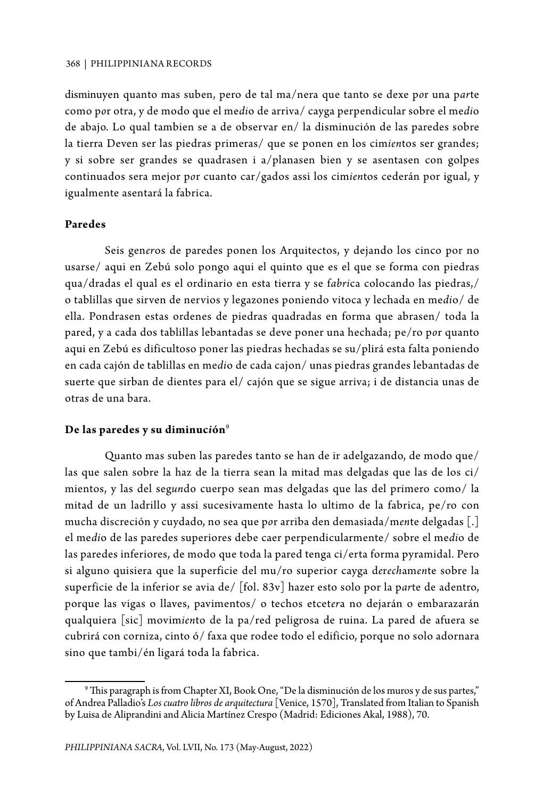disminuyen quanto mas suben, pero de tal ma/nera que tanto se dexe p*o*r una p*ar*te como p*o*r otra, y de modo que el me*di*o de arriva/ cayga perpendicular sobre el me*di*o de abajo. Lo qual tambien se a de observar en/ la disminución de las paredes sobre la tierra Deven ser las piedras primeras/ que se ponen en los cim*ien*tos ser grandes; y si sobre ser grandes se quadrasen i a/planasen bien y se asentasen con golpes continuados sera mejor p*o*r cuanto car/gados assi los cim*ien*tos cederán por igual, y igualmente asentará la fabrica.

#### **Paredes**

Seis gen*er*os de paredes ponen los Arquitectos, y dejando los cinco por no usarse/ aqui en Zebú solo pongo aqui el quinto que es el que se forma con piedras qua/dradas el qual es el ordinario en esta tierra y se f*abri*ca colocando las piedras,/ o tablillas que sirven de nervios y legazones poniendo vitoca y lechada en me*di*o/ de ella. Pondrasen estas ordenes de piedras quadradas en forma que abrasen/ toda la pared, y a cada dos tablillas lebantadas se deve poner una hechada; pe/ro p*o*r quanto aqui en Zebú es dificultoso poner las piedras hechadas se su/plirá esta falta poniendo en cada cajón de tablillas en me*di*o de cada cajon/ unas piedras grandes lebantadas de suerte que sirban de dientes para el/ cajón que se sigue arriva; i de distancia unas de otras de una bara.

#### **De las paredes y su diminuc***i***ón**<sup>9</sup>

Quanto mas suben las paredes tanto se han de ir adelgazando, de modo que/ las que salen sobre la haz de la tierra sean la mitad mas delgadas que las de los ci/ mientos, y las del seg*un*do cuerpo sean mas delgadas que las del primero como/ la mitad de un ladrillo y assi sucesivamente hasta lo ultimo de la fabrica, pe/ro con mucha discreción y cuydado, no sea que p*o*r arriba den demasiada/m*en*te delgadas [.] el me*di*o de las paredes superiores debe caer perpendicularmente/ sobre el me*di*o de las paredes inferiores, de modo que toda la pared tenga ci/erta forma pyramidal. Pero si alguno quisiera que la superficie del mu/ro superior cayga d*e*r*ech*am*en*te sobre la superficie de la inferior se avia de/ [fol. 83v] hazer esto solo por la p*ar*te de adentro, porque las vigas o llaves, pavimentos/ o techos etcet*er*a no dejarán o embarazarán qualquiera [sic] movim*ien*to de la pa/red peligrosa de ruina. La pared de afuera se cubrirá con corniza, cinto ó/ faxa que rodee todo el edificio, porque no solo adornara sino que tambi/én ligará toda la fabrica.

 $^9$  This paragraph is from Chapter XI, Book One, "De la disminución de los muros y de sus partes," of Andrea Palladio's *Los cuatro libros de arquitectura* [Venice, 1570], Translated from Italian to Spanish by Luisa de Aliprandini and Alicia Martínez Crespo (Madrid: Ediciones Akal, 1988), 70.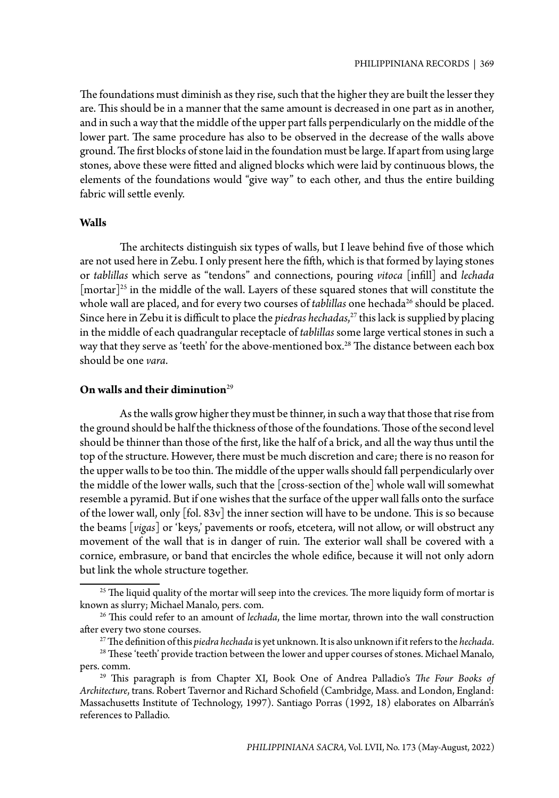The foundations must diminish as they rise, such that the higher they are built the lesser they are. This should be in a manner that the same amount is decreased in one part as in another, and in such a way that the middle of the upper part falls perpendicularly on the middle of the lower part. The same procedure has also to be observed in the decrease of the walls above ground. The first blocks of stone laid in the foundation must be large. If apart from using large stones, above these were fitted and aligned blocks which were laid by continuous blows, the elements of the foundations would "give way" to each other, and thus the entire building fabric will settle evenly.

#### **Walls**

The architects distinguish six types of walls, but I leave behind five of those which are not used here in Zebu. I only present here the fifth, which is that formed by laying stones or *tablillas* which serve as "tendons" and connections, pouring *vitoca* [infill] and *lechada*  $[$ mortar $]$ <sup>25</sup> in the middle of the wall. Layers of these squared stones that will constitute the whole wall are placed, and for every two courses of *tablillas* one hechada<sup>26</sup> should be placed. Since here in Zebu it is difficult to place the *piedras hechadas*, 27 this lack is supplied by placing in the middle of each quadrangular receptacle of *tablillas* some large vertical stones in such a way that they serve as 'teeth' for the above-mentioned box.<sup>28</sup> The distance between each box should be one *vara*.

# **On walls and their diminution**<sup>29</sup>

As the walls grow higher they must be thinner, in such a way that those that rise from the ground should be half the thickness of those of the foundations. Those of the second level should be thinner than those of the first, like the half of a brick, and all the way thus until the top of the structure. However, there must be much discretion and care; there is no reason for the upper walls to be too thin. The middle of the upper walls should fall perpendicularly over the middle of the lower walls, such that the [cross-section of the] whole wall will somewhat resemble a pyramid. But if one wishes that the surface of the upper wall falls onto the surface of the lower wall, only [fol. 83v] the inner section will have to be undone. This is so because the beams [*vigas*] or 'keys,' pavements or roofs, etcetera, will not allow, or will obstruct any movement of the wall that is in danger of ruin. The exterior wall shall be covered with a cornice, embrasure, or band that encircles the whole edifice, because it will not only adorn but link the whole structure together.

<sup>&</sup>lt;sup>25</sup> The liquid quality of the mortar will seep into the crevices. The more liquidy form of mortar is known as slurry; Michael Manalo, pers. com.

<sup>26</sup> This could refer to an amount of *lechada*, the lime mortar, thrown into the wall construction after every two stone courses. 27 The definition of this *piedra hechada* is yet unknown. It is also unknown if it refers to the *hechada*.

<sup>&</sup>lt;sup>28</sup> These 'teeth' provide traction between the lower and upper courses of stones. Michael Manalo, pers. comm.

<sup>29</sup> This paragraph is from Chapter XI, Book One of Andrea Palladio's *The Four Books of Architecture*, trans. Robert Tavernor and Richard Schofield (Cambridge, Mass. and London, England: Massachusetts Institute of Technology, 1997). Santiago Porras (1992, 18) elaborates on Albarrán's references to Palladio.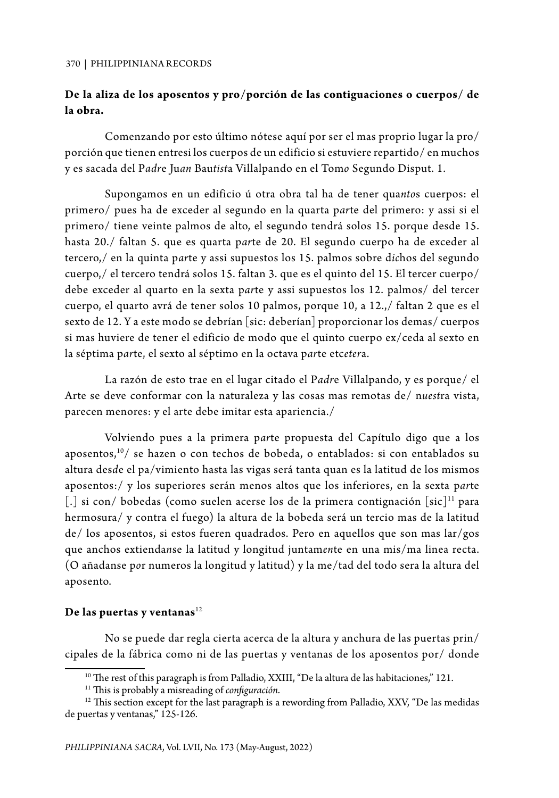# **De la aliza de los aposentos y pro/porción de las contiguaciones o cuerpos/ de la obra.**

Comenzando por esto último nótese aquí por ser el mas proprio lugar la pro/ porción que tienen entresi los cuerpos de un edificio si estuviere repartido/ en muchos y es sacada del P*adr*e Ju*an* Bau*tist*a Villalpando en el Tom*o* Segundo Disput. 1.

Supongamos en un edificio ú otra obra tal ha de tener qua*nto*s cuerpos: el prime*r*o/ pues ha de exceder al segundo en la quarta p*ar*te del primero: y assi si el primero/ tiene veinte palmos de alto, el segundo tendrá solos 15. porque desde 15. hasta 20./ faltan 5. que es quarta p*ar*te de 20. El segundo cuerpo ha de exceder al tercero,/ en la quinta p*ar*te y assi supuestos los 15. palmos sobre d*ic*hos del segundo cuerpo,/ el tercero tendrá solos 15. faltan 3. que es el quinto del 15. El tercer cuerpo/ debe exceder al quarto en la sexta p*ar*te y assi supuestos los 12. palmos/ del tercer cuerpo, el quarto avrá de tener solos 10 palmos, porque 10, a 12.,/ faltan 2 que es el sexto de 12. Y a este modo se debrían [sic: deberían] proporcionar los demas/ cuerpos si mas huviere de tener el edificio de modo que el quinto cuerpo ex/ceda al sexto en la séptima p*ar*te, el sexto al séptimo en la octava p*ar*te etc*eter*a.

La razón de esto trae en el lugar citado el P*adr*e Villalpando, y es porque/ el Arte se deve conformar con la naturaleza y las cosas mas remotas de/ n*uest*ra vista, parecen menores: y el arte debe imitar esta apariencia./

Volviendo pues a la primera p*ar*te propuesta del Capítulo digo que a los aposentos,10/ se hazen o con techos de bobeda, o entablados: si con entablados su altura des*d*e el pa/vimiento hasta las vigas será tanta quan es la latitud de los mismos aposentos:/ y los superiores serán menos altos que los inferiores, en la sexta p*ar*te  $[.]$  si con/ bobedas (como suelen acerse los de la primera contignación  $[sic]$ <sup>11</sup> para hermosura/ y contra el fuego) la altura de la bobeda será un tercio mas de la latitud de/ los aposentos, si estos fueren quadrados. Pero en aquellos que son mas lar/gos que anchos extienda*n*se la latitud y longitud juntam*en*te en una mis/ma linea recta. (O añadanse p*o*r numeros la longitud y latitud) y la me/tad del todo sera la altura del aposento.

# **De las puertas y ventanas**<sup>12</sup>

No se puede dar regla cierta acerca de la altura y anchura de las puertas prin/ cipales de la fábrica como ni de las puertas y ventanas de los aposentos por/ donde

<sup>&</sup>lt;sup>10</sup> The rest of this paragraph is from Palladio, XXIII, "De la altura de las habitaciones," 121.

<sup>11</sup> This is probably a misreading of *configuración*.

<sup>&</sup>lt;sup>12</sup> This section except for the last paragraph is a rewording from Palladio, XXV, "De las medidas de puertas y ventanas," 125-126.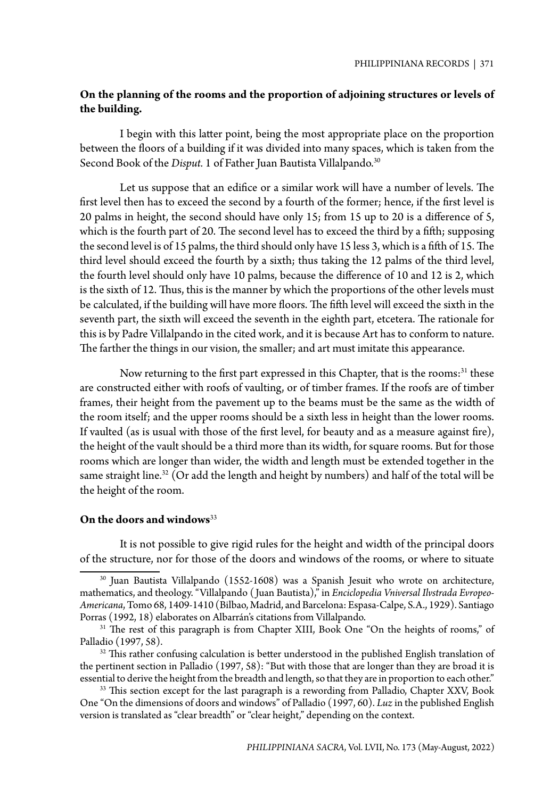# **On the planning of the rooms and the proportion of adjoining structures or levels of the building.**

I begin with this latter point, being the most appropriate place on the proportion between the floors of a building if it was divided into many spaces, which is taken from the Second Book of the *Disput*. 1 of Father Juan Bautista Villalpando.<sup>30</sup>

Let us suppose that an edifice or a similar work will have a number of levels. The first level then has to exceed the second by a fourth of the former; hence, if the first level is 20 palms in height, the second should have only 15; from 15 up to 20 is a difference of 5, which is the fourth part of 20. The second level has to exceed the third by a fifth; supposing the second level is of 15 palms, the third should only have 15 less 3, which is a fifth of 15. The third level should exceed the fourth by a sixth; thus taking the 12 palms of the third level, the fourth level should only have 10 palms, because the difference of 10 and 12 is 2, which is the sixth of 12. Thus, this is the manner by which the proportions of the other levels must be calculated, if the building will have more floors. The fifth level will exceed the sixth in the seventh part, the sixth will exceed the seventh in the eighth part, etcetera. The rationale for this is by Padre Villalpando in the cited work, and it is because Art has to conform to nature. The farther the things in our vision, the smaller; and art must imitate this appearance.

Now returning to the first part expressed in this Chapter, that is the rooms:<sup>31</sup> these are constructed either with roofs of vaulting, or of timber frames. If the roofs are of timber frames, their height from the pavement up to the beams must be the same as the width of the room itself; and the upper rooms should be a sixth less in height than the lower rooms. If vaulted (as is usual with those of the first level, for beauty and as a measure against fire), the height of the vault should be a third more than its width, for square rooms. But for those rooms which are longer than wider, the width and length must be extended together in the same straight line. $32$  (Or add the length and height by numbers) and half of the total will be the height of the room.

# **On the doors and windows**<sup>33</sup>

It is not possible to give rigid rules for the height and width of the principal doors of the structure, nor for those of the doors and windows of the rooms, or where to situate

<sup>30</sup> Juan Bautista Villalpando (1552-1608) was a Spanish Jesuit who wrote on architecture, mathematics, and theology. "Villalpando ( Juan Bautista)," in *Enciclopedia Vniversal Ilvstrada Evropeo-Americana*, Tomo 68, 1409-1410 (Bilbao, Madrid, and Barcelona: Espasa-Calpe, S.A., 1929). Santiago

<sup>&</sup>lt;sup>31</sup> The rest of this paragraph is from Chapter XIII, Book One "On the heights of rooms," of Palladio (1997, 58).

 $32$  This rather confusing calculation is better understood in the published English translation of the pertinent section in Palladio (1997, 58): "But with those that are longer than they are broad it is essential to derive the height from the breadth and length, so that they are in proportion to each other."

<sup>&</sup>lt;sup>33</sup> This section except for the last paragraph is a rewording from Palladio, Chapter XXV, Book One "On the dimensions of doors and windows" of Palladio (1997, 60). *Luz* in the published English version is translated as "clear breadth" or "clear height," depending on the context.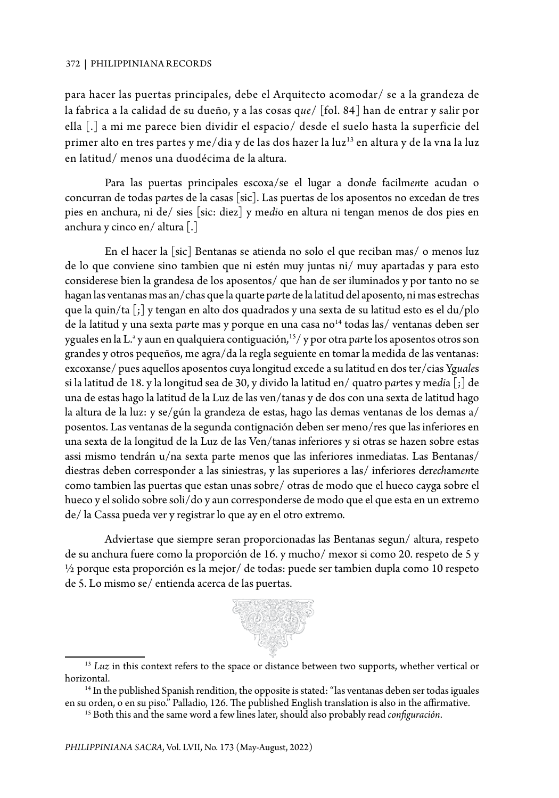para hacer las puertas principales, debe el Arquitecto acomodar/ se a la grandeza de la fabrica a la calidad de su dueño, y a las cosas q*ue*/ [fol. 84] han de entrar y salir por ella [.] a mi me parece bien dividir el espacio/ desde el suelo hasta la superficie del primer alto en tres partes y me/dia y de las dos hazer la luz<sup>13</sup> en altura y de la vna la luz en latitud/ menos una duodécima de la altura.

Para las puertas principales escoxa/se el lugar a don*d*e facilm*en*te acudan o concurran de todas p*ar*tes de la casas [sic]. Las puertas de los aposentos no excedan de tres pies en anchura, ni de/ sies [sic: diez] y me*di*o en altura ni tengan menos de dos pies en anchura y cinco en/ altura [.]

En el hacer la [sic] Bentanas se atienda no solo el que reciban mas/ o menos luz de lo que conviene sino tambien que ni estén muy juntas ni/ muy apartadas y para esto considerese bien la grandesa de los aposentos/ que han de ser iluminados y por tanto no se hagan las ventanas mas an/chas que la quarte p*ar*te de la latitud del aposento, ni mas estrechas que la quin/ta [;] y tengan en alto dos quadrados y una sexta de su latitud esto es el du/plo de la latitud y una sexta parte mas y porque en una casa no<sup>14</sup> todas las/ ventanas deben ser yguales en la L.ª y aun en qualquiera contiguación,<sup>15</sup>/ y por otra p*ar*te los aposentos otros son grandes y otros pequeños, me agra/da la regla seguiente en tomar la medida de las ventanas: excoxanse/ pues aquellos aposentos cuya longitud excede a su latitud en dos ter/cias Yg*uale*s si la latitud de 18. y la longitud sea de 30, y divido la latitud en/ quatro p*ar*tes y me*di*a [;] de una de estas hago la latitud de la Luz de las ven/tanas y de dos con una sexta de latitud hago la altura de la luz: y se/gún la grandeza de estas, hago las demas ventanas de los demas a/ posentos. Las ventanas de la segunda contignación deben ser meno/res que las inferiores en una sexta de la longitud de la Luz de las Ven/tanas inferiores y si otras se hazen sobre estas assi mismo tendrán u/na sexta parte menos que las inferiores inmediatas. Las Bentanas/ diestras deben corresponder a las siniestras, y las superiores a las/ inferiores d*e*r*ech*am*en*te como tambien las puertas que estan unas sobre/ otras de modo que el hueco cayga sobre el hueco y el solido sobre soli/do y aun corresponderse de modo que el que esta en un extremo de/ la Cassa pueda ver y registrar lo que ay en el otro extremo.

Adviertase que siempre seran proporcionadas las Bentanas segun/ altura, respeto de su anchura fuere como la proporción de 16. y mucho/ mexor si como 20. respeto de 5 y ½ porque esta proporción es la mejor/ de todas: puede ser tambien dupla como 10 respeto de 5. Lo mismo se/ entienda acerca de las puertas.



<sup>&</sup>lt;sup>13</sup> *Luz* in this context refers to the space or distance between two supports, whether vertical or horizontal.

<sup>&</sup>lt;sup>14</sup> In the published Spanish rendition, the opposite is stated: "las ventanas deben ser todas iguales en su orden, o en su piso." Palladio, 126. The published English translation is also in the affirmative.

<sup>15</sup> Both this and the same word a few lines later, should also probably read *configuración*.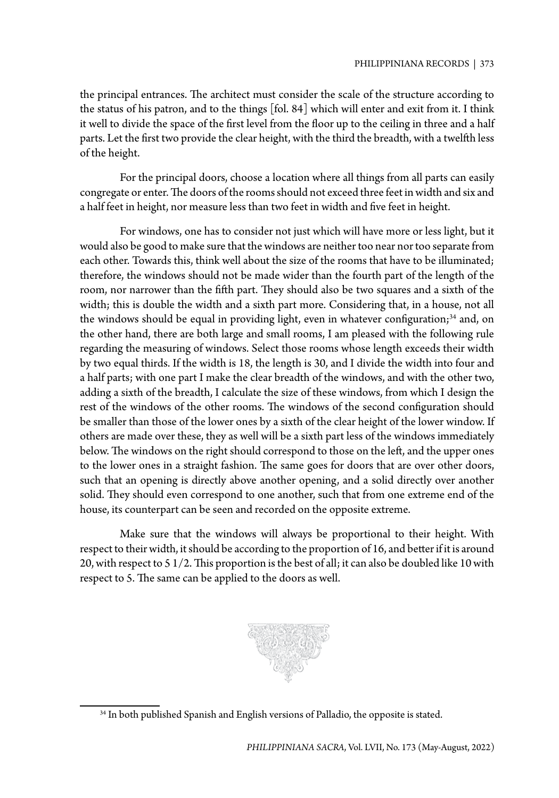the principal entrances. The architect must consider the scale of the structure according to the status of his patron, and to the things [fol. 84] which will enter and exit from it. I think it well to divide the space of the first level from the floor up to the ceiling in three and a half parts. Let the first two provide the clear height, with the third the breadth, with a twelfth less of the height.

For the principal doors, choose a location where all things from all parts can easily congregate or enter. The doors of the rooms should not exceed three feet in width and six and a half feet in height, nor measure less than two feet in width and five feet in height.

For windows, one has to consider not just which will have more or less light, but it would also be good to make sure that the windows are neither too near nor too separate from each other. Towards this, think well about the size of the rooms that have to be illuminated; therefore, the windows should not be made wider than the fourth part of the length of the room, nor narrower than the fifth part. They should also be two squares and a sixth of the width; this is double the width and a sixth part more. Considering that, in a house, not all the windows should be equal in providing light, even in whatever configuration;<sup>34</sup> and, on the other hand, there are both large and small rooms, I am pleased with the following rule regarding the measuring of windows. Select those rooms whose length exceeds their width by two equal thirds. If the width is 18, the length is 30, and I divide the width into four and a half parts; with one part I make the clear breadth of the windows, and with the other two, adding a sixth of the breadth, I calculate the size of these windows, from which I design the rest of the windows of the other rooms. The windows of the second configuration should be smaller than those of the lower ones by a sixth of the clear height of the lower window. If others are made over these, they as well will be a sixth part less of the windows immediately below. The windows on the right should correspond to those on the left, and the upper ones to the lower ones in a straight fashion. The same goes for doors that are over other doors, such that an opening is directly above another opening, and a solid directly over another solid. They should even correspond to one another, such that from one extreme end of the house, its counterpart can be seen and recorded on the opposite extreme.

Make sure that the windows will always be proportional to their height. With respect to their width, it should be according to the proportion of 16, and better if it is around 20, with respect to 5 1/2. This proportion is the best of all; it can also be doubled like 10 with respect to 5. The same can be applied to the doors as well.



<sup>34</sup> In both published Spanish and English versions of Palladio, the opposite is stated.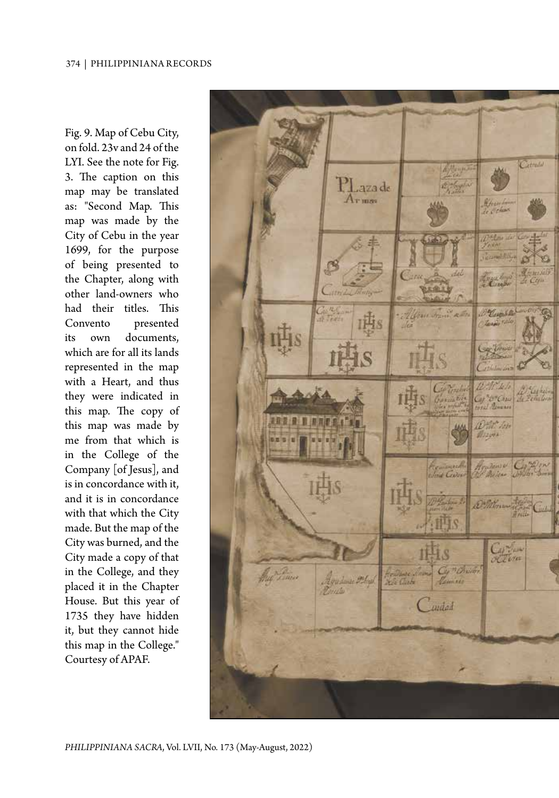Fig. 9. Map of Cebu City, on fold. 23v and 24 of the LYI. See the note for Fig. 3. The caption on this map may be translated as: "Second Map. This map was made by the City of Cebu in the year 1699, for the purpose of being presented to the Chapter, along with other land-owners who had their titles. This Convento presented its own documents, which are for all its lands represented in the map with a Heart, and thus they were indicated in this map. The copy of this map was made by me from that which is in the College of the Company [of Jesus], and is in concordance with it, and it is in concordance with that which the City made. But the map of the City was burned, and the City made a copy of that in the College, and they placed it in the Chapter House. But this year of 1735 they have hidden it, but they cannot hide this map in the College." Courtesy of APAF.

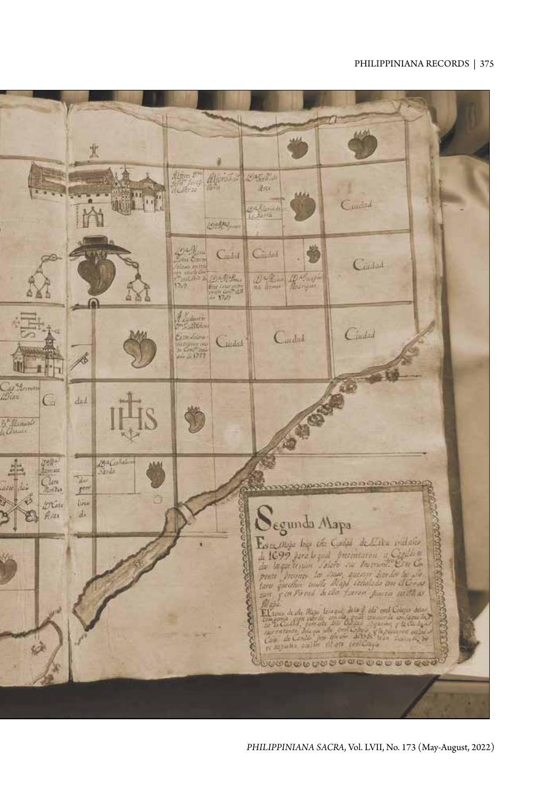

*PHILIPPINIANA SACRA*, Vol. LVII, No. 173 (May-August, 2022)